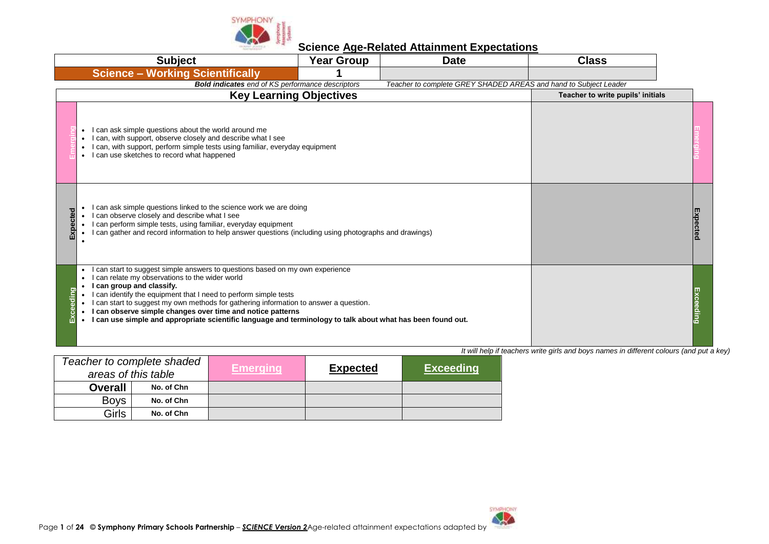

| <b>Subject</b>                                                                                                                                                                                                                                                                                                                                                                                                                                                                                            | <b>Year Group</b>              | <b>Date</b>                                                      | <b>Class</b>                                                                             |  |
|-----------------------------------------------------------------------------------------------------------------------------------------------------------------------------------------------------------------------------------------------------------------------------------------------------------------------------------------------------------------------------------------------------------------------------------------------------------------------------------------------------------|--------------------------------|------------------------------------------------------------------|------------------------------------------------------------------------------------------|--|
| <b>Science - Working Scientifically</b>                                                                                                                                                                                                                                                                                                                                                                                                                                                                   |                                |                                                                  |                                                                                          |  |
| <b>Bold indicates</b> end of KS performance descriptors                                                                                                                                                                                                                                                                                                                                                                                                                                                   |                                | Teacher to complete GREY SHADED AREAS and hand to Subject Leader |                                                                                          |  |
|                                                                                                                                                                                                                                                                                                                                                                                                                                                                                                           | <b>Key Learning Objectives</b> |                                                                  | Teacher to write pupils' initials                                                        |  |
| • I can ask simple questions about the world around me<br>I can, with support, observe closely and describe what I see<br>I can, with support, perform simple tests using familiar, everyday equipment<br>• I can use sketches to record what happened                                                                                                                                                                                                                                                    |                                |                                                                  |                                                                                          |  |
| can ask simple questions linked to the science work we are doing<br>I can observe closely and describe what I see<br>I can perform simple tests, using familiar, everyday equipment<br>I can gather and record information to help answer questions (including using photographs and drawings)                                                                                                                                                                                                            |                                |                                                                  |                                                                                          |  |
| I can start to suggest simple answers to questions based on my own experience<br>can relate my observations to the wider world<br>I can group and classify.<br>I can identify the equipment that I need to perform simple tests<br>I can start to suggest my own methods for gathering information to answer a question.<br>• I can observe simple changes over time and notice patterns<br>. I can use simple and appropriate scientific language and terminology to talk about what has been found out. |                                |                                                                  | It will help if teachers write girls and boys names in different colours (and put a key) |  |

|                | Teacher to complete shaded<br>areas of this table | 'Emeraïna | <b>Expected</b> | <b>Exceeding</b> |
|----------------|---------------------------------------------------|-----------|-----------------|------------------|
| <b>Overall</b> | No. of Chn                                        |           |                 |                  |
| <b>Boys</b>    | No. of Chn                                        |           |                 |                  |
| Girls          | No. of Chn                                        |           |                 |                  |

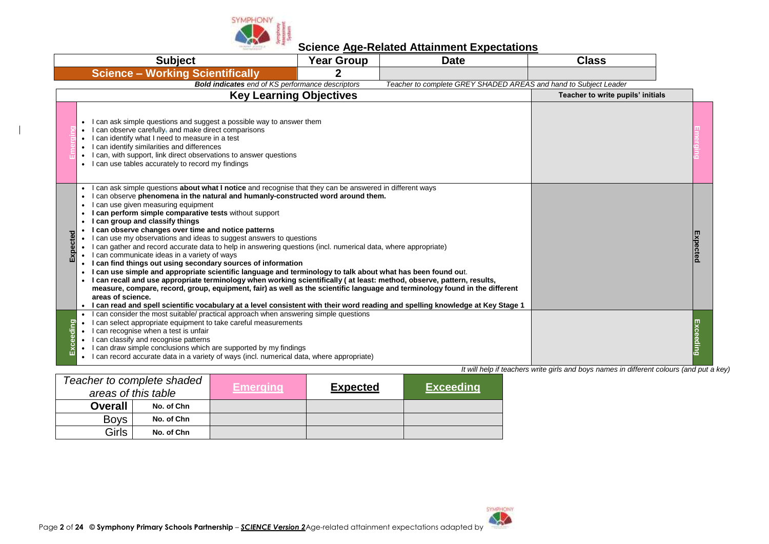

|          | <b>Subject</b>                                                                                                                                                                                                                                                                                                                                                                                                                                                                                                                                                                                                                                                                                                                                                                                                                                                                                                                                                                                                                                                                                                                                                                                                                                               | <b>Year Group</b>                 | <b>Date</b>                                                      | <b>Class</b> |           |
|----------|--------------------------------------------------------------------------------------------------------------------------------------------------------------------------------------------------------------------------------------------------------------------------------------------------------------------------------------------------------------------------------------------------------------------------------------------------------------------------------------------------------------------------------------------------------------------------------------------------------------------------------------------------------------------------------------------------------------------------------------------------------------------------------------------------------------------------------------------------------------------------------------------------------------------------------------------------------------------------------------------------------------------------------------------------------------------------------------------------------------------------------------------------------------------------------------------------------------------------------------------------------------|-----------------------------------|------------------------------------------------------------------|--------------|-----------|
|          | <b>Science - Working Scientifically</b>                                                                                                                                                                                                                                                                                                                                                                                                                                                                                                                                                                                                                                                                                                                                                                                                                                                                                                                                                                                                                                                                                                                                                                                                                      | 2                                 |                                                                  |              |           |
|          | <b>Bold indicates</b> end of KS performance descriptors                                                                                                                                                                                                                                                                                                                                                                                                                                                                                                                                                                                                                                                                                                                                                                                                                                                                                                                                                                                                                                                                                                                                                                                                      |                                   | Teacher to complete GREY SHADED AREAS and hand to Subject Leader |              |           |
|          | <b>Key Learning Objectives</b>                                                                                                                                                                                                                                                                                                                                                                                                                                                                                                                                                                                                                                                                                                                                                                                                                                                                                                                                                                                                                                                                                                                                                                                                                               | Teacher to write pupils' initials |                                                                  |              |           |
|          | I can ask simple questions and suggest a possible way to answer them<br>I can observe carefully, and make direct comparisons<br>I can identify what I need to measure in a test<br>I can identify similarities and differences<br>I can, with support, link direct observations to answer questions<br>• I can use tables accurately to record my findings                                                                                                                                                                                                                                                                                                                                                                                                                                                                                                                                                                                                                                                                                                                                                                                                                                                                                                   |                                   |                                                                  |              |           |
| ដe       | can ask simple questions <b>about what I notice</b> and recognise that they can be answered in different ways<br>can observe phenomena in the natural and humanly-constructed word around them.<br>can use given measuring equipment<br>can perform simple comparative tests without support<br>I can group and classify things<br>I can observe changes over time and notice patterns<br>I can use my observations and ideas to suggest answers to questions<br>$\bullet$<br>I can gather and record accurate data to help in answering questions (incl. numerical data, where appropriate)<br>• I can communicate ideas in a variety of ways<br>I can find things out using secondary sources of information<br>$\bullet$<br>I can use simple and appropriate scientific language and terminology to talk about what has been found out.<br>I can recall and use appropriate terminology when working scientifically (at least: method, observe, pattern, results,<br>measure, compare, record, group, equipment, fair) as well as the scientific language and terminology found in the different<br>areas of science.<br>• I can read and spell scientific vocabulary at a level consistent with their word reading and spelling knowledge at Key Stage 1 |                                   |                                                                  |              | Expectec  |
| xceeding | I can consider the most suitable/ practical approach when answering simple questions<br>I can select appropriate equipment to take careful measurements<br>I can recognise when a test is unfair<br>I can classify and recognise patterns<br>I can draw simple conclusions which are supported by my findings<br>I can record accurate data in a variety of ways (incl. numerical data, where appropriate)<br>$\bullet$                                                                                                                                                                                                                                                                                                                                                                                                                                                                                                                                                                                                                                                                                                                                                                                                                                      |                                   |                                                                  |              | Exceeding |

|                | Teacher to complete shaded<br>areas of this table | Emerging <b>\</b> | <b>Expected</b> | <b>Exceeding</b> |
|----------------|---------------------------------------------------|-------------------|-----------------|------------------|
| <b>Overall</b> | No. of Chn                                        |                   |                 |                  |
| <b>Boys</b>    | No. of Chn                                        |                   |                 |                  |
| Girls          | No. of Chn                                        |                   |                 |                  |

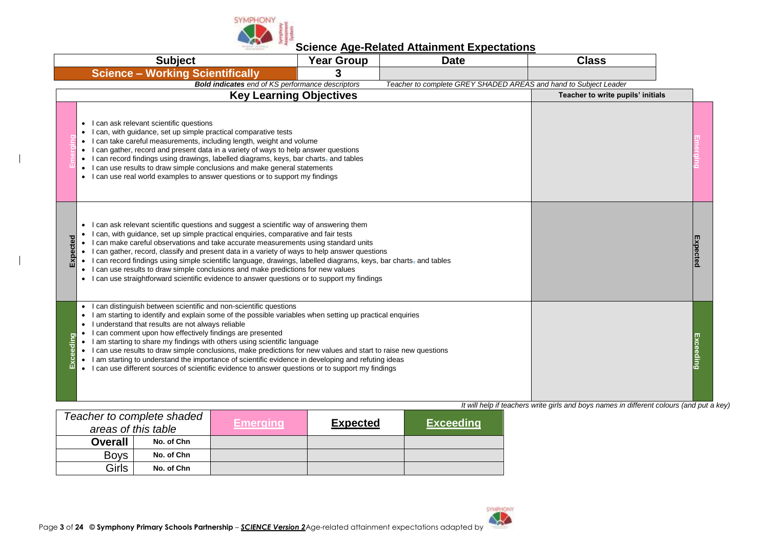

| <b>Subject</b>                                                                                                                                                                                                                                                                                                                                                                                                                                                                                                                                                                                                                                                                                                                                                     | <b>Year Group</b>                                       | <b>Date</b>                                                      | <b>Class</b>                                                                             |  |
|--------------------------------------------------------------------------------------------------------------------------------------------------------------------------------------------------------------------------------------------------------------------------------------------------------------------------------------------------------------------------------------------------------------------------------------------------------------------------------------------------------------------------------------------------------------------------------------------------------------------------------------------------------------------------------------------------------------------------------------------------------------------|---------------------------------------------------------|------------------------------------------------------------------|------------------------------------------------------------------------------------------|--|
| <b>Science - Working Scientifically</b>                                                                                                                                                                                                                                                                                                                                                                                                                                                                                                                                                                                                                                                                                                                            | 3                                                       |                                                                  |                                                                                          |  |
|                                                                                                                                                                                                                                                                                                                                                                                                                                                                                                                                                                                                                                                                                                                                                                    | <b>Bold indicates</b> end of KS performance descriptors | Teacher to complete GREY SHADED AREAS and hand to Subject Leader |                                                                                          |  |
|                                                                                                                                                                                                                                                                                                                                                                                                                                                                                                                                                                                                                                                                                                                                                                    | <b>Key Learning Objectives</b>                          |                                                                  | Teacher to write pupils' initials                                                        |  |
| • I can ask relevant scientific questions<br>I can, with guidance, set up simple practical comparative tests<br>• I can take careful measurements, including length, weight and volume<br>• I can gather, record and present data in a variety of ways to help answer questions<br>• I can record findings using drawings, labelled diagrams, keys, bar charts, and tables<br>• I can use results to draw simple conclusions and make general statements<br>• I can use real world examples to answer questions or to support my findings                                                                                                                                                                                                                          |                                                         |                                                                  |                                                                                          |  |
| I can ask relevant scientific questions and suggest a scientific way of answering them<br>I can, with guidance, set up simple practical enquiries, comparative and fair tests<br>Expected<br>• I can make careful observations and take accurate measurements using standard units<br>• I can gather, record, classify and present data in a variety of ways to help answer questions<br>• I can record findings using simple scientific language, drawings, labelled diagrams, keys, bar charts, and tables<br>• I can use results to draw simple conclusions and make predictions for new values<br>• I can use straightforward scientific evidence to answer questions or to support my findings                                                                |                                                         |                                                                  |                                                                                          |  |
| I can distinguish between scientific and non-scientific questions<br>$\bullet$<br>I am starting to identify and explain some of the possible variables when setting up practical enquiries<br>I understand that results are not always reliable<br>$\bullet$<br>I can comment upon how effectively findings are presented<br>$\bullet$<br>kceeding<br>• I am starting to share my findings with others using scientific language<br>• I can use results to draw simple conclusions, make predictions for new values and start to raise new questions<br>• I am starting to understand the importance of scientific evidence in developing and refuting ideas<br>• I can use different sources of scientific evidence to answer questions or to support my findings |                                                         |                                                                  |                                                                                          |  |
|                                                                                                                                                                                                                                                                                                                                                                                                                                                                                                                                                                                                                                                                                                                                                                    |                                                         |                                                                  | It will help if teachers write girls and boys names in different colours (and put a key) |  |
| Topohor to complete shaded                                                                                                                                                                                                                                                                                                                                                                                                                                                                                                                                                                                                                                                                                                                                         |                                                         |                                                                  |                                                                                          |  |

|                | Teacher to complete shaded<br>areas of this table | <b>Emerging</b> | <b>Expected</b> | <b>Exceeding</b> |
|----------------|---------------------------------------------------|-----------------|-----------------|------------------|
| <b>Overall</b> | No. of Chn                                        |                 |                 |                  |
| <b>Boys</b>    | No. of Chn                                        |                 |                 |                  |
| Girls          | No. of Chn                                        |                 |                 |                  |

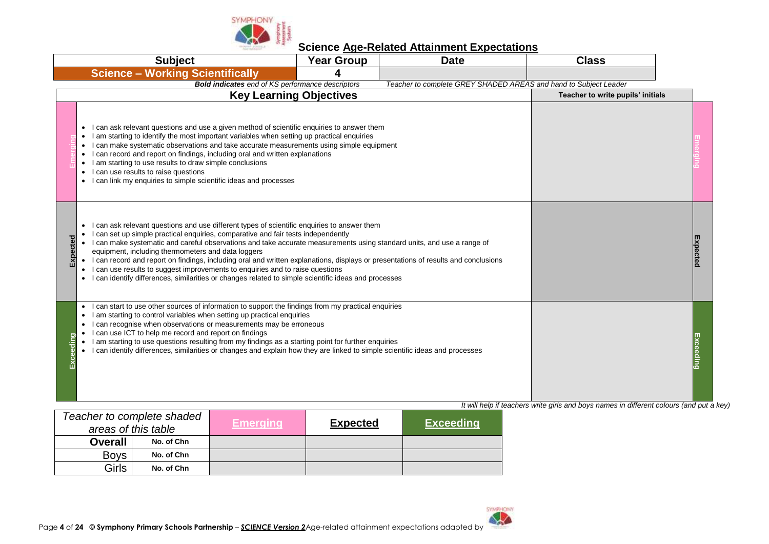

| <b>Subject</b>                                                                                                                                                                                                                                                                                                                                                                                                                                                                                                                                                                                                                                                                                                               | <b>Year Group</b> | <b>Date</b>                                                      | <b>Class</b>                                                                             |  |
|------------------------------------------------------------------------------------------------------------------------------------------------------------------------------------------------------------------------------------------------------------------------------------------------------------------------------------------------------------------------------------------------------------------------------------------------------------------------------------------------------------------------------------------------------------------------------------------------------------------------------------------------------------------------------------------------------------------------------|-------------------|------------------------------------------------------------------|------------------------------------------------------------------------------------------|--|
| <b>Science - Working Scientifically</b>                                                                                                                                                                                                                                                                                                                                                                                                                                                                                                                                                                                                                                                                                      |                   |                                                                  |                                                                                          |  |
| <b>Bold indicates</b> end of KS performance descriptors                                                                                                                                                                                                                                                                                                                                                                                                                                                                                                                                                                                                                                                                      |                   | Teacher to complete GREY SHADED AREAS and hand to Subject Leader |                                                                                          |  |
| <b>Key Learning Objectives</b>                                                                                                                                                                                                                                                                                                                                                                                                                                                                                                                                                                                                                                                                                               |                   |                                                                  | Teacher to write pupils' initials                                                        |  |
| I can ask relevant questions and use a given method of scientific enquiries to answer them<br>I am starting to identify the most important variables when setting up practical enquiries<br>I can make systematic observations and take accurate measurements using simple equipment<br>can record and report on findings, including oral and written explanations<br>$\bullet$<br>I am starting to use results to draw simple conclusions<br>$\bullet$<br>I can use results to raise questions<br>$\bullet$<br>I can link my enquiries to simple scientific ideas and processes                                                                                                                                             |                   |                                                                  |                                                                                          |  |
| I can ask relevant questions and use different types of scientific enquiries to answer them<br>I can set up simple practical enquiries, comparative and fair tests independently<br>xpecte<br>• I can make systematic and careful observations and take accurate measurements using standard units, and use a range of<br>equipment, including thermometers and data loggers<br>• I can record and report on findings, including oral and written explanations, displays or presentations of results and conclusions<br>I can use results to suggest improvements to enquiries and to raise questions<br>$\bullet$<br>• I can identify differences, similarities or changes related to simple scientific ideas and processes |                   |                                                                  |                                                                                          |  |
| can start to use other sources of information to support the findings from my practical enquiries<br>$\bullet$<br>I am starting to control variables when setting up practical enquiries<br>$\bullet$<br>I can recognise when observations or measurements may be erroneous<br>I can use ICT to help me record and report on findings<br>Exceeding<br>I am starting to use questions resulting from my findings as a starting point for further enquiries<br>$\bullet$<br>I can identify differences, similarities or changes and explain how they are linked to simple scientific ideas and processes<br>$\bullet$                                                                                                          |                   |                                                                  |                                                                                          |  |
| Topohorto completo choded                                                                                                                                                                                                                                                                                                                                                                                                                                                                                                                                                                                                                                                                                                    |                   |                                                                  | It will help if teachers write girls and boys names in different colours (and put a key) |  |

|                | Teacher to complete shaded<br>areas of this table | <b>Emerging</b> | <b>Expected</b> | <b>Exceeding</b> |
|----------------|---------------------------------------------------|-----------------|-----------------|------------------|
| <b>Overall</b> | No. of Chn                                        |                 |                 |                  |
| <b>Boys</b>    | No. of Chn                                        |                 |                 |                  |
| Girls          | No. of Chn                                        |                 |                 |                  |

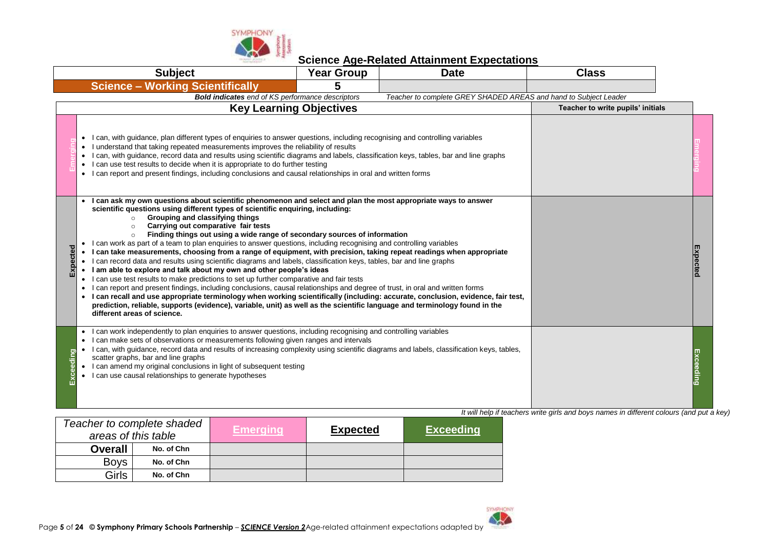

**Science Age-Related Attainment Expectations**

|          | <b>Subject</b>                                                                                                                                                                                                                                                                                                                                                                                                                                                                                                                                                                                                                                                                                                                                                                                                                                                                                                                                                                                                                                                                                                                                                                                                                                                                                                                                                             | <b>Year Group</b>                 | <b>Date</b>                                                      | <b>Class</b> |           |
|----------|----------------------------------------------------------------------------------------------------------------------------------------------------------------------------------------------------------------------------------------------------------------------------------------------------------------------------------------------------------------------------------------------------------------------------------------------------------------------------------------------------------------------------------------------------------------------------------------------------------------------------------------------------------------------------------------------------------------------------------------------------------------------------------------------------------------------------------------------------------------------------------------------------------------------------------------------------------------------------------------------------------------------------------------------------------------------------------------------------------------------------------------------------------------------------------------------------------------------------------------------------------------------------------------------------------------------------------------------------------------------------|-----------------------------------|------------------------------------------------------------------|--------------|-----------|
|          | <b>Science - Working Scientifically</b>                                                                                                                                                                                                                                                                                                                                                                                                                                                                                                                                                                                                                                                                                                                                                                                                                                                                                                                                                                                                                                                                                                                                                                                                                                                                                                                                    | 5                                 |                                                                  |              |           |
|          | <b>Bold indicates</b> end of KS performance descriptors                                                                                                                                                                                                                                                                                                                                                                                                                                                                                                                                                                                                                                                                                                                                                                                                                                                                                                                                                                                                                                                                                                                                                                                                                                                                                                                    |                                   | Teacher to complete GREY SHADED AREAS and hand to Subject Leader |              |           |
|          | <b>Key Learning Objectives</b>                                                                                                                                                                                                                                                                                                                                                                                                                                                                                                                                                                                                                                                                                                                                                                                                                                                                                                                                                                                                                                                                                                                                                                                                                                                                                                                                             | Teacher to write pupils' initials |                                                                  |              |           |
|          | I can, with guidance, plan different types of enquiries to answer questions, including recognising and controlling variables<br>I understand that taking repeated measurements improves the reliability of results<br>$\bullet$<br>I can, with guidance, record data and results using scientific diagrams and labels, classification keys, tables, bar and line graphs<br>$\bullet$<br>I can use test results to decide when it is appropriate to do further testing<br>$\bullet$<br>• I can report and present findings, including conclusions and causal relationships in oral and written forms                                                                                                                                                                                                                                                                                                                                                                                                                                                                                                                                                                                                                                                                                                                                                                        |                                   |                                                                  |              |           |
| Expected | I can ask my own questions about scientific phenomenon and select and plan the most appropriate ways to answer<br>scientific questions using different types of scientific enquiring, including:<br>Grouping and classifying things<br>Carrying out comparative fair tests<br>Finding things out using a wide range of secondary sources of information<br>I can work as part of a team to plan enquiries to answer questions, including recognising and controlling variables<br>I can take measurements, choosing from a range of equipment, with precision, taking repeat readings when appropriate<br>I can record data and results using scientific diagrams and labels, classification keys, tables, bar and line graphs<br>$\bullet$<br>I am able to explore and talk about my own and other people's ideas<br>$\bullet$<br>I can use test results to make predictions to set up further comparative and fair tests<br>$\bullet$<br>I can report and present findings, including conclusions, causal relationships and degree of trust, in oral and written forms<br>• I can recall and use appropriate terminology when working scientifically (including: accurate, conclusion, evidence, fair test,<br>prediction, reliable, supports (evidence), variable, unit) as well as the scientific language and terminology found in the<br>different areas of science. |                                   |                                                                  |              | Expected  |
| eding    | I can work independently to plan enquiries to answer questions, including recognising and controlling variables<br>$\bullet$<br>I can make sets of observations or measurements following given ranges and intervals<br>I can, with quidance, record data and results of increasing complexity using scientific diagrams and labels, classification keys, tables,<br>scatter graphs, bar and line graphs<br>I can amend my original conclusions in light of subsequent testing<br>$\bullet$<br>I can use causal relationships to generate hypotheses                                                                                                                                                                                                                                                                                                                                                                                                                                                                                                                                                                                                                                                                                                                                                                                                                       |                                   |                                                                  |              | Exceeding |

| It will help if teachers write girls and boys names in different colours (and put a key) |  |
|------------------------------------------------------------------------------------------|--|

| Teacher to complete shaded<br>areas of this table |            | <b>Emerging</b> | <b>Expected</b> | <b>Exceeding</b> |
|---------------------------------------------------|------------|-----------------|-----------------|------------------|
| <b>Overall</b>                                    | No. of Chn |                 |                 |                  |
| <b>Boys</b>                                       | No. of Chn |                 |                 |                  |
| Girls                                             | No. of Chn |                 |                 |                  |

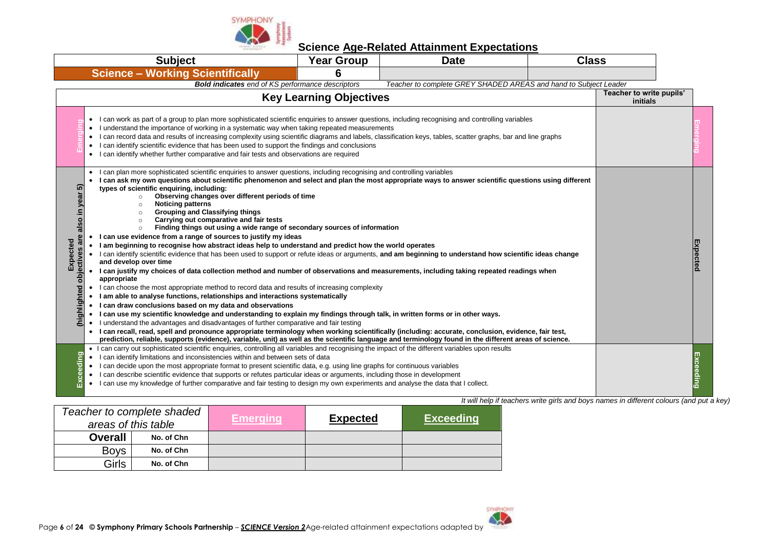

|                                                                      | <b>Subject</b>                                                                                                                                                                                                                                                                                                                                                                                                                                                                                                                                                                                                                                                                                                                                                                                                                                                                                                                                                                                                                                                                                                                                                                                                                                                                                                                                                                                                                                                                                                                                                                                                                                                                                                                                                                                                                                                                                                                                                                      | <b>Year Group</b>                    | <b>Date</b>                                                      | <b>Class</b> |  |          |
|----------------------------------------------------------------------|-------------------------------------------------------------------------------------------------------------------------------------------------------------------------------------------------------------------------------------------------------------------------------------------------------------------------------------------------------------------------------------------------------------------------------------------------------------------------------------------------------------------------------------------------------------------------------------------------------------------------------------------------------------------------------------------------------------------------------------------------------------------------------------------------------------------------------------------------------------------------------------------------------------------------------------------------------------------------------------------------------------------------------------------------------------------------------------------------------------------------------------------------------------------------------------------------------------------------------------------------------------------------------------------------------------------------------------------------------------------------------------------------------------------------------------------------------------------------------------------------------------------------------------------------------------------------------------------------------------------------------------------------------------------------------------------------------------------------------------------------------------------------------------------------------------------------------------------------------------------------------------------------------------------------------------------------------------------------------------|--------------------------------------|------------------------------------------------------------------|--------------|--|----------|
|                                                                      | <b>Science - Working Scientifically</b>                                                                                                                                                                                                                                                                                                                                                                                                                                                                                                                                                                                                                                                                                                                                                                                                                                                                                                                                                                                                                                                                                                                                                                                                                                                                                                                                                                                                                                                                                                                                                                                                                                                                                                                                                                                                                                                                                                                                             | 6                                    |                                                                  |              |  |          |
|                                                                      | <b>Bold indicates</b> end of KS performance descriptors                                                                                                                                                                                                                                                                                                                                                                                                                                                                                                                                                                                                                                                                                                                                                                                                                                                                                                                                                                                                                                                                                                                                                                                                                                                                                                                                                                                                                                                                                                                                                                                                                                                                                                                                                                                                                                                                                                                             |                                      | Teacher to complete GREY SHADED AREAS and hand to Subject Leader |              |  |          |
|                                                                      | <b>Key Learning Objectives</b>                                                                                                                                                                                                                                                                                                                                                                                                                                                                                                                                                                                                                                                                                                                                                                                                                                                                                                                                                                                                                                                                                                                                                                                                                                                                                                                                                                                                                                                                                                                                                                                                                                                                                                                                                                                                                                                                                                                                                      | Teacher to write pupils'<br>initials |                                                                  |              |  |          |
|                                                                      | I can work as part of a group to plan more sophisticated scientific enquiries to answer questions, including recognising and controlling variables<br>$\bullet$<br>• I understand the importance of working in a systematic way when taking repeated measurements<br>• I can record data and results of increasing complexity using scientific diagrams and labels, classification keys, tables, scatter graphs, bar and line graphs<br>• I can identify scientific evidence that has been used to support the findings and conclusions<br>• I can identify whether further comparative and fair tests and observations are required                                                                                                                                                                                                                                                                                                                                                                                                                                                                                                                                                                                                                                                                                                                                                                                                                                                                                                                                                                                                                                                                                                                                                                                                                                                                                                                                                |                                      |                                                                  |              |  |          |
| ត<br>also in year<br>are<br>Expected<br>ectives<br>ā<br>(highlighted | I can plan more sophisticated scientific enquiries to answer questions, including recognising and controlling variables<br>$\bullet$<br>I can ask my own questions about scientific phenomenon and select and plan the most appropriate ways to answer scientific questions using different<br>types of scientific enquiring, including:<br>Observing changes over different periods of time<br>$\circ$<br><b>Noticing patterns</b><br>$\Omega$<br><b>Grouping and Classifying things</b><br>$\circ$<br>Carrying out comparative and fair tests<br>$\circ$<br>Finding things out using a wide range of secondary sources of information<br>$\circ$<br>I can use evidence from a range of sources to justify my ideas<br>. I am beginning to recognise how abstract ideas help to understand and predict how the world operates<br>• I can identify scientific evidence that has been used to support or refute ideas or arguments, and am beginning to understand how scientific ideas change<br>and develop over time<br>• I can justify my choices of data collection method and number of observations and measurements, including taking repeated readings when<br>appropriate<br>• I can choose the most appropriate method to record data and results of increasing complexity<br>• I am able to analyse functions, relationships and interactions systematically<br>• I can draw conclusions based on my data and observations<br>. I can use my scientific knowledge and understanding to explain my findings through talk, in written forms or in other ways.<br>• I understand the advantages and disadvantages of further comparative and fair testing<br>• I can recall, read, spell and pronounce appropriate terminology when working scientifically (including: accurate, conclusion, evidence, fair test,<br>prediction, reliable, supports (evidence), variable, unit) as well as the scientific language and terminology found in the different areas of science. |                                      |                                                                  |              |  | Expectec |
| eding<br>စ္ပ                                                         | • I can carry out sophisticated scientific enquiries, controlling all variables and recognising the impact of the different variables upon results<br>• I can identify limitations and inconsistencies within and between sets of data<br>• I can decide upon the most appropriate format to present scientific data, e.g. using line graphs for continuous variables<br>• I can describe scientific evidence that supports or refutes particular ideas or arguments, including those in development<br>• I can use my knowledge of further comparative and fair testing to design my own experiments and analyse the data that I collect.                                                                                                                                                                                                                                                                                                                                                                                                                                                                                                                                                                                                                                                                                                                                                                                                                                                                                                                                                                                                                                                                                                                                                                                                                                                                                                                                          |                                      |                                                                  |              |  |          |

|                | Teacher to complete shaded<br>areas of this table | <b>Emerging</b> | <b>Expected</b> | <b>Exceeding</b> |
|----------------|---------------------------------------------------|-----------------|-----------------|------------------|
| <b>Overall</b> | No. of Chn                                        |                 |                 |                  |
| <b>Boys</b>    | No. of Chn                                        |                 |                 |                  |
| Girls          | No. of Chn                                        |                 |                 |                  |

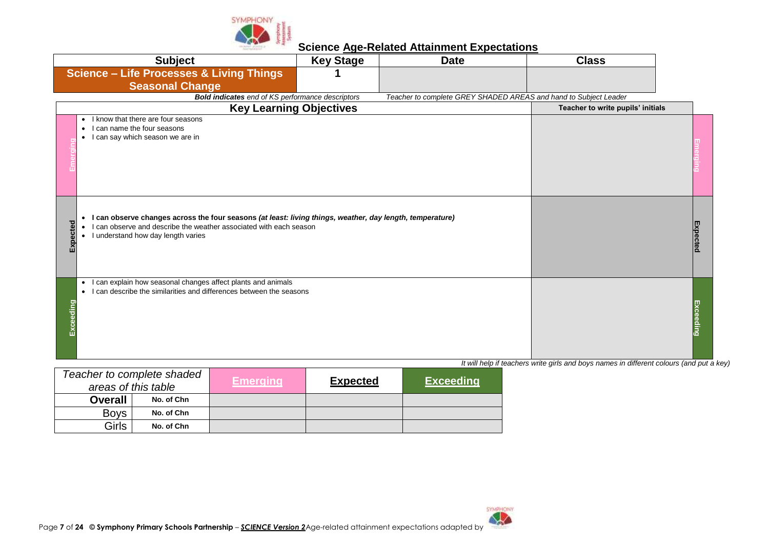

|          | <b>Subject</b>                                                                                                                                                                                                                                | <b>Key Stage</b> | <b>Date</b>                                                      | <b>Class</b>                      |          |
|----------|-----------------------------------------------------------------------------------------------------------------------------------------------------------------------------------------------------------------------------------------------|------------------|------------------------------------------------------------------|-----------------------------------|----------|
|          | <b>Science - Life Processes &amp; Living Things</b><br><b>Seasonal Change</b>                                                                                                                                                                 |                  |                                                                  |                                   |          |
|          | <b>Bold indicates</b> end of KS performance descriptors                                                                                                                                                                                       |                  | Teacher to complete GREY SHADED AREAS and hand to Subject Leader |                                   |          |
|          | <b>Key Learning Objectives</b>                                                                                                                                                                                                                |                  |                                                                  | Teacher to write pupils' initials |          |
|          | I know that there are four seasons<br>$\bullet$<br>can name the four seasons<br>$\bullet$<br>I can say which season we are in<br>$\bullet$                                                                                                    |                  |                                                                  |                                   |          |
| pected   | I can observe changes across the four seasons (at least: living things, weather, day length, temperature)<br>$\bullet$<br>can observe and describe the weather associated with each season<br>I understand how day length varies<br>$\bullet$ |                  |                                                                  |                                   | Expected |
| xceeding | I can explain how seasonal changes affect plants and animals<br>$\bullet$<br>I can describe the similarities and differences between the seasons<br>$\bullet$                                                                                 |                  |                                                                  |                                   | Exceedin |

|                | Teacher to complete shaded<br>areas of this table | Emerging' | <b>Expected</b> | <b>Exceeding</b> |
|----------------|---------------------------------------------------|-----------|-----------------|------------------|
| <b>Overall</b> | No. of Chn                                        |           |                 |                  |
| <b>Boys</b>    | No. of Chn                                        |           |                 |                  |
| Girls          | No. of Chn                                        |           |                 |                  |

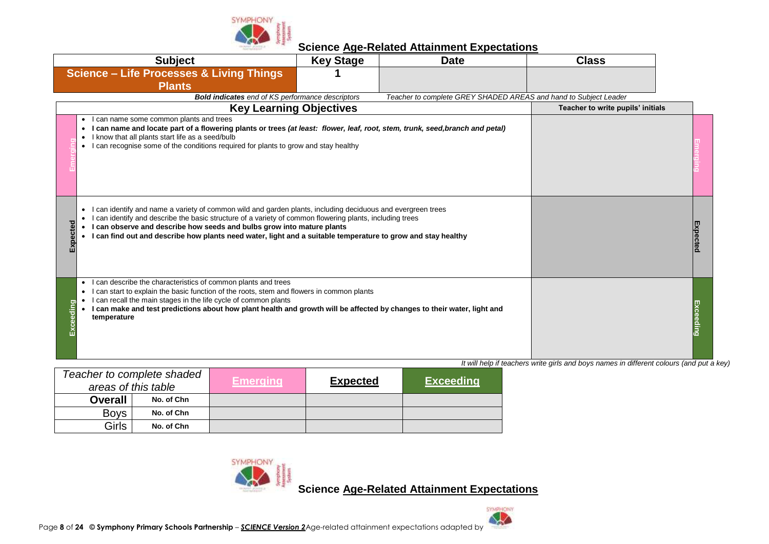

| <b>Subject</b>                                                                                                                                                                                                                                                                                                                                                                                                                       | <b>Key Stage</b>                                        | <b>Date</b>                                                      | <b>Class</b>                                                                       |  |
|--------------------------------------------------------------------------------------------------------------------------------------------------------------------------------------------------------------------------------------------------------------------------------------------------------------------------------------------------------------------------------------------------------------------------------------|---------------------------------------------------------|------------------------------------------------------------------|------------------------------------------------------------------------------------|--|
| <b>Science - Life Processes &amp; Living Things</b><br><b>Plants</b>                                                                                                                                                                                                                                                                                                                                                                 |                                                         |                                                                  |                                                                                    |  |
|                                                                                                                                                                                                                                                                                                                                                                                                                                      | <b>Bold indicates</b> end of KS performance descriptors | Teacher to complete GREY SHADED AREAS and hand to Subject Leader |                                                                                    |  |
|                                                                                                                                                                                                                                                                                                                                                                                                                                      | <b>Key Learning Objectives</b>                          |                                                                  | Teacher to write pupils' initials                                                  |  |
| can name some common plants and trees<br>I can name and locate part of a flowering plants or trees (at least: flower, leaf, root, stem, trunk, seed, branch and petal)<br>know that all plants start life as a seed/bulb<br>can recognise some of the conditions required for plants to grow and stay healthy<br>$\bullet$                                                                                                           |                                                         |                                                                  |                                                                                    |  |
| can identify and name a variety of common wild and garden plants, including deciduous and evergreen trees<br>$\bullet$<br>can identify and describe the basic structure of a variety of common flowering plants, including trees<br>pected<br>I can observe and describe how seeds and bulbs grow into mature plants<br>I can find out and describe how plants need water, light and a suitable temperature to grow and stay healthy |                                                         |                                                                  |                                                                                    |  |
| can describe the characteristics of common plants and trees<br>$\bullet$<br>can start to explain the basic function of the roots, stem and flowers in common plants<br>can recall the main stages in the life cycle of common plants<br>eeding<br>I can make and test predictions about how plant health and growth will be affected by changes to their water, light and<br>temperature                                             |                                                         |                                                                  | It will holp if togethere write airle and boys names in different solours (and nut |  |

*It will help if teachers write girls and boys names in different colours (and put a key)*

|                | Teacher to complete shaded<br>areas of this table | Emerging | <b>Expected</b> | <b>Exceeding</b> |
|----------------|---------------------------------------------------|----------|-----------------|------------------|
| <b>Overall</b> | No. of Chn                                        |          |                 |                  |
| <b>Boys</b>    | No. of Chn                                        |          |                 |                  |
| Girls          | No. of Chn                                        |          |                 |                  |

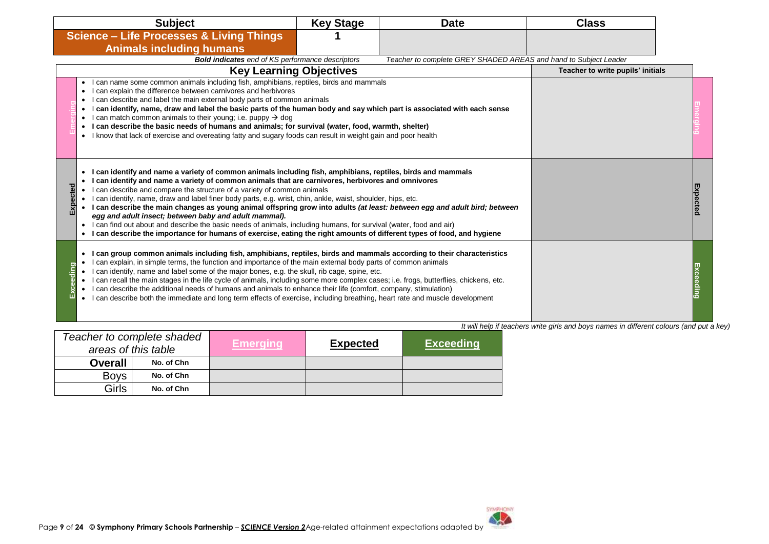|              | <b>Subject</b>                                                                                                                                                                                                                                                                                                                                                                                                                                                                                                                                                                                                                                                                                                                                                                                                                                                                          | <b>Key Stage</b> | <b>Date</b>                                                      | <b>Class</b>                      |          |
|--------------|-----------------------------------------------------------------------------------------------------------------------------------------------------------------------------------------------------------------------------------------------------------------------------------------------------------------------------------------------------------------------------------------------------------------------------------------------------------------------------------------------------------------------------------------------------------------------------------------------------------------------------------------------------------------------------------------------------------------------------------------------------------------------------------------------------------------------------------------------------------------------------------------|------------------|------------------------------------------------------------------|-----------------------------------|----------|
|              | <b>Science - Life Processes &amp; Living Things</b>                                                                                                                                                                                                                                                                                                                                                                                                                                                                                                                                                                                                                                                                                                                                                                                                                                     |                  |                                                                  |                                   |          |
|              | <b>Animals including humans</b>                                                                                                                                                                                                                                                                                                                                                                                                                                                                                                                                                                                                                                                                                                                                                                                                                                                         |                  |                                                                  |                                   |          |
|              | <b>Bold indicates</b> end of KS performance descriptors                                                                                                                                                                                                                                                                                                                                                                                                                                                                                                                                                                                                                                                                                                                                                                                                                                 |                  | Teacher to complete GREY SHADED AREAS and hand to Subject Leader |                                   |          |
|              | <b>Key Learning Objectives</b>                                                                                                                                                                                                                                                                                                                                                                                                                                                                                                                                                                                                                                                                                                                                                                                                                                                          |                  |                                                                  | Teacher to write pupils' initials |          |
|              | I can name some common animals including fish, amphibians, reptiles, birds and mammals<br>I can explain the difference between carnivores and herbivores<br>$\bullet$<br>I can describe and label the main external body parts of common animals<br>$\bullet$<br>I can identify, name, draw and label the basic parts of the human body and say which part is associated with each sense<br>$\bullet$<br>I can match common animals to their young; i.e. puppy $\rightarrow$ dog<br>$\bullet$<br>I can describe the basic needs of humans and animals; for survival (water, food, warmth, shelter)<br>• I know that lack of exercise and overeating fatty and sugary foods can result in weight gain and poor health                                                                                                                                                                    |                  |                                                                  |                                   |          |
| pected<br>Εx | I can identify and name a variety of common animals including fish, amphibians, reptiles, birds and mammals<br>$\bullet$<br>I can identify and name a variety of common animals that are carnivores, herbivores and omnivores<br>$\bullet$<br>I can describe and compare the structure of a variety of common animals<br>I can identify, name, draw and label finer body parts, e.g. wrist, chin, ankle, waist, shoulder, hips, etc.<br>I can describe the main changes as young animal offspring grow into adults (at least: between egg and adult bird; between<br>egg and adult insect; between baby and adult mammal).<br>I can find out about and describe the basic needs of animals, including humans, for survival (water, food and air)<br>$\bullet$<br>I can describe the importance for humans of exercise, eating the right amounts of different types of food, and hygiene |                  |                                                                  |                                   | Expected |
| 들<br>ш       | I can group common animals including fish, amphibians, reptiles, birds and mammals according to their characteristics<br>$\bullet$<br>I can explain, in simple terms, the function and importance of the main external body parts of common animals<br>$\bullet$<br>I can identify, name and label some of the major bones, e.g. the skull, rib cage, spine, etc.<br>I can recall the main stages in the life cycle of animals, including some more complex cases; i.e. frogs, butterflies, chickens, etc.<br>$\bullet$<br>I can describe the additional needs of humans and animals to enhance their life (comfort, company, stimulation)<br>I can describe both the immediate and long term effects of exercise, including breathing, heart rate and muscle development<br>$\bullet$                                                                                                  |                  |                                                                  |                                   |          |

|                | Teacher to complete shaded<br>areas of this table | <b>Emerging</b> | <b>Expected</b> | <b>Exceeding</b> |
|----------------|---------------------------------------------------|-----------------|-----------------|------------------|
| <b>Overall</b> | No. of Chn                                        |                 |                 |                  |
| <b>Boys</b>    | No. of Chn                                        |                 |                 |                  |
| Girls          | No. of Chn                                        |                 |                 |                  |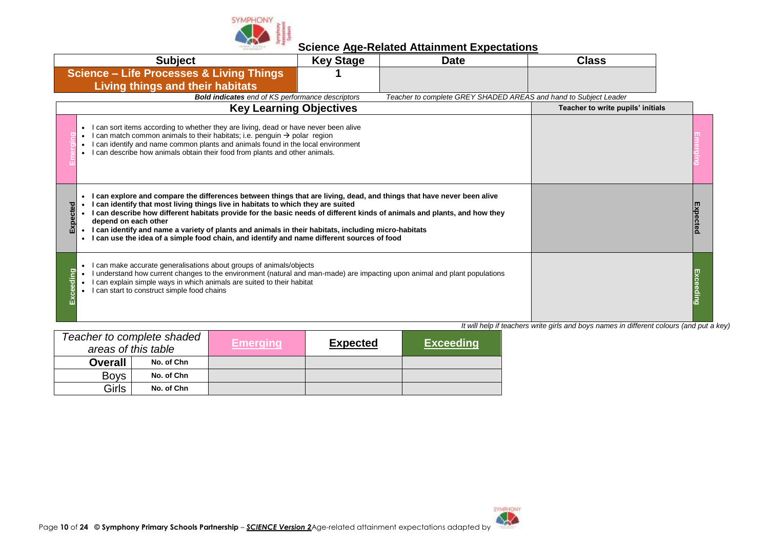

|             | <b>Subject</b>                                                                                                                                                                                                                                                                                                                                                                                                                                                                                                                                                                  | <b>Key Stage</b> | <b>Date</b>                                                      | <b>Class</b>                      |  |
|-------------|---------------------------------------------------------------------------------------------------------------------------------------------------------------------------------------------------------------------------------------------------------------------------------------------------------------------------------------------------------------------------------------------------------------------------------------------------------------------------------------------------------------------------------------------------------------------------------|------------------|------------------------------------------------------------------|-----------------------------------|--|
|             | <b>Science - Life Processes &amp; Living Things</b><br><b>Living things and their habitats</b>                                                                                                                                                                                                                                                                                                                                                                                                                                                                                  |                  |                                                                  |                                   |  |
|             | <b>Bold indicates</b> end of KS performance descriptors                                                                                                                                                                                                                                                                                                                                                                                                                                                                                                                         |                  | Teacher to complete GREY SHADED AREAS and hand to Subject Leader |                                   |  |
|             | <b>Key Learning Objectives</b>                                                                                                                                                                                                                                                                                                                                                                                                                                                                                                                                                  |                  |                                                                  | Teacher to write pupils' initials |  |
|             | I can sort items according to whether they are living, dead or have never been alive<br>I can match common animals to their habitats; i.e. penguin → polar region<br>I can identify and name common plants and animals found in the local environment<br>I can describe how animals obtain their food from plants and other animals.                                                                                                                                                                                                                                            |                  |                                                                  |                                   |  |
| cted<br>Exp | I can explore and compare the differences between things that are living, dead, and things that have never been alive<br>I can identify that most living things live in habitats to which they are suited<br>I can describe how different habitats provide for the basic needs of different kinds of animals and plants, and how they<br>depend on each other<br>I can identify and name a variety of plants and animals in their habitats, including micro-habitats<br>I can use the idea of a simple food chain, and identify and name different sources of food<br>$\bullet$ |                  |                                                                  |                                   |  |
| guip        | I can make accurate generalisations about groups of animals/objects<br>I understand how current changes to the environment (natural and man-made) are impacting upon animal and plant populations<br>can explain simple ways in which animals are suited to their habitat<br>I can start to construct simple food chains                                                                                                                                                                                                                                                        |                  |                                                                  |                                   |  |

|                | Teacher to complete shaded<br>areas of this table | <b>Emerging</b> | <b>Expected</b> | <b>Exceeding</b> |
|----------------|---------------------------------------------------|-----------------|-----------------|------------------|
| <b>Overall</b> | No. of Chn                                        |                 |                 |                  |
| <b>Boys</b>    | No. of Chn                                        |                 |                 |                  |
| <b>Girls</b>   | No. of Chn                                        |                 |                 |                  |

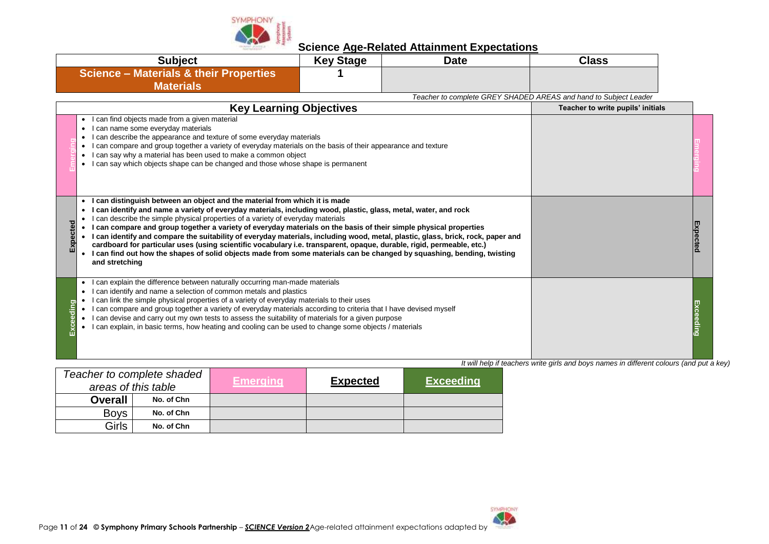

| <b>Science - Materials &amp; their Properties</b><br><b>Materials</b><br>Teacher to complete GREY SHADED AREAS and hand to Subject Leader<br><b>Key Learning Objectives</b><br>Teacher to write pupils' initials<br>can find objects made from a given material<br>can name some everyday materials<br>can describe the appearance and texture of some everyday materials<br>can compare and group together a variety of everyday materials on the basis of their appearance and texture<br>can say why a material has been used to make a common object<br>can say which objects shape can be changed and those whose shape is permanent<br>I can distinguish between an object and the material from which it is made<br>l can identify and name a variety of everyday materials, including wood, plastic, glass, metal, water, and rock<br>can describe the simple physical properties of a variety of everyday materials<br>I can compare and group together a variety of everyday materials on the basis of their simple physical properties<br>I can identify and compare the suitability of everyday materials, including wood, metal, plastic, glass, brick, rock, paper and<br>cardboard for particular uses (using scientific vocabulary i.e. transparent, opaque, durable, rigid, permeable, etc.)<br>I can find out how the shapes of solid objects made from some materials can be changed by squashing, bending, twisting<br>and stretching<br>can explain the difference between naturally occurring man-made materials<br>can identify and name a selection of common metals and plastics<br>$\bullet$<br>can link the simple physical properties of a variety of everyday materials to their uses<br>can compare and group together a variety of everyday materials according to criteria that I have devised myself<br>can devise and carry out my own tests to assess the suitability of materials for a given purpose<br>can explain, in basic terms, how heating and cooling can be used to change some objects / materials | <b>Subject</b> | <b>Key Stage</b> | <b>Date</b> | <b>Class</b> |  |
|--------------------------------------------------------------------------------------------------------------------------------------------------------------------------------------------------------------------------------------------------------------------------------------------------------------------------------------------------------------------------------------------------------------------------------------------------------------------------------------------------------------------------------------------------------------------------------------------------------------------------------------------------------------------------------------------------------------------------------------------------------------------------------------------------------------------------------------------------------------------------------------------------------------------------------------------------------------------------------------------------------------------------------------------------------------------------------------------------------------------------------------------------------------------------------------------------------------------------------------------------------------------------------------------------------------------------------------------------------------------------------------------------------------------------------------------------------------------------------------------------------------------------------------------------------------------------------------------------------------------------------------------------------------------------------------------------------------------------------------------------------------------------------------------------------------------------------------------------------------------------------------------------------------------------------------------------------------------------------------------------------------------------------------------------|----------------|------------------|-------------|--------------|--|
|                                                                                                                                                                                                                                                                                                                                                                                                                                                                                                                                                                                                                                                                                                                                                                                                                                                                                                                                                                                                                                                                                                                                                                                                                                                                                                                                                                                                                                                                                                                                                                                                                                                                                                                                                                                                                                                                                                                                                                                                                                                  |                |                  |             |              |  |
|                                                                                                                                                                                                                                                                                                                                                                                                                                                                                                                                                                                                                                                                                                                                                                                                                                                                                                                                                                                                                                                                                                                                                                                                                                                                                                                                                                                                                                                                                                                                                                                                                                                                                                                                                                                                                                                                                                                                                                                                                                                  |                |                  |             |              |  |
|                                                                                                                                                                                                                                                                                                                                                                                                                                                                                                                                                                                                                                                                                                                                                                                                                                                                                                                                                                                                                                                                                                                                                                                                                                                                                                                                                                                                                                                                                                                                                                                                                                                                                                                                                                                                                                                                                                                                                                                                                                                  |                |                  |             |              |  |
|                                                                                                                                                                                                                                                                                                                                                                                                                                                                                                                                                                                                                                                                                                                                                                                                                                                                                                                                                                                                                                                                                                                                                                                                                                                                                                                                                                                                                                                                                                                                                                                                                                                                                                                                                                                                                                                                                                                                                                                                                                                  |                |                  |             |              |  |
|                                                                                                                                                                                                                                                                                                                                                                                                                                                                                                                                                                                                                                                                                                                                                                                                                                                                                                                                                                                                                                                                                                                                                                                                                                                                                                                                                                                                                                                                                                                                                                                                                                                                                                                                                                                                                                                                                                                                                                                                                                                  |                |                  |             |              |  |
|                                                                                                                                                                                                                                                                                                                                                                                                                                                                                                                                                                                                                                                                                                                                                                                                                                                                                                                                                                                                                                                                                                                                                                                                                                                                                                                                                                                                                                                                                                                                                                                                                                                                                                                                                                                                                                                                                                                                                                                                                                                  |                |                  |             |              |  |

|                | Teacher to complete shaded<br>areas of this table | Emerging' | <b>Expected</b> | <b>Exceeding</b> |
|----------------|---------------------------------------------------|-----------|-----------------|------------------|
| <b>Overall</b> | No. of Chn                                        |           |                 |                  |
| <b>Boys</b>    | No. of Chn                                        |           |                 |                  |
| Girls          | No. of Chn                                        |           |                 |                  |

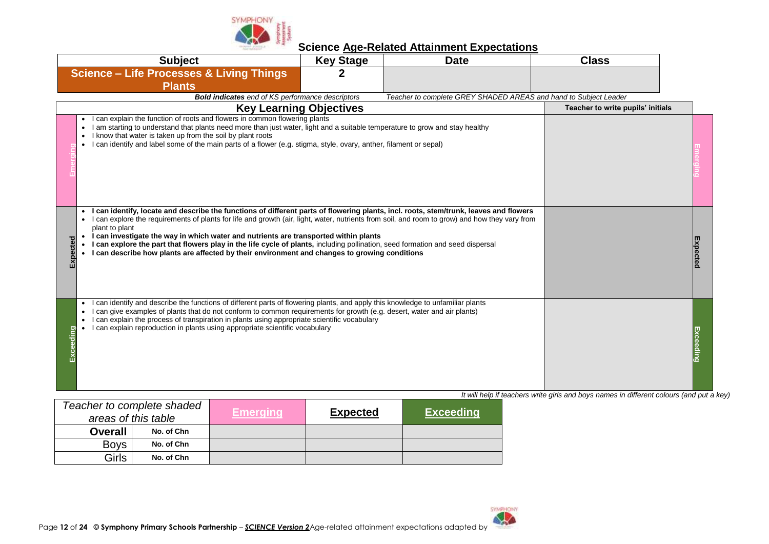

| <b>Science - Life Processes &amp; Living Things</b><br>2<br><b>Plants</b><br><b>Bold indicates</b> end of KS performance descriptors<br>Teacher to complete GREY SHADED AREAS and hand to Subject Leader<br><b>Key Learning Objectives</b><br>Teacher to write pupils' initials<br>can explain the function of roots and flowers in common flowering plants<br>I am starting to understand that plants need more than just water, light and a suitable temperature to grow and stay healthy<br>I know that water is taken up from the soil by plant roots<br>I can identify and label some of the main parts of a flower (e.g. stigma, style, ovary, anther, filament or sepal)<br>I can identify, locate and describe the functions of different parts of flowering plants, incl. roots, stem/trunk, leaves and flowers<br>can explore the requirements of plants for life and growth (air, light, water, nutrients from soil, and room to grow) and how they vary from<br>plant to plant<br>I can investigate the way in which water and nutrients are transported within plants<br>I can explore the part that flowers play in the life cycle of plants, including pollination, seed formation and seed dispersal<br>I can describe how plants are affected by their environment and changes to growing conditions<br>m | <b>Subject</b> | <b>Key Stage</b> | <b>Date</b> | <b>Class</b> |  |
|----------------------------------------------------------------------------------------------------------------------------------------------------------------------------------------------------------------------------------------------------------------------------------------------------------------------------------------------------------------------------------------------------------------------------------------------------------------------------------------------------------------------------------------------------------------------------------------------------------------------------------------------------------------------------------------------------------------------------------------------------------------------------------------------------------------------------------------------------------------------------------------------------------------------------------------------------------------------------------------------------------------------------------------------------------------------------------------------------------------------------------------------------------------------------------------------------------------------------------------------------------------------------------------------------------------------------|----------------|------------------|-------------|--------------|--|
|                                                                                                                                                                                                                                                                                                                                                                                                                                                                                                                                                                                                                                                                                                                                                                                                                                                                                                                                                                                                                                                                                                                                                                                                                                                                                                                            |                |                  |             |              |  |
|                                                                                                                                                                                                                                                                                                                                                                                                                                                                                                                                                                                                                                                                                                                                                                                                                                                                                                                                                                                                                                                                                                                                                                                                                                                                                                                            |                |                  |             |              |  |
|                                                                                                                                                                                                                                                                                                                                                                                                                                                                                                                                                                                                                                                                                                                                                                                                                                                                                                                                                                                                                                                                                                                                                                                                                                                                                                                            |                |                  |             |              |  |
|                                                                                                                                                                                                                                                                                                                                                                                                                                                                                                                                                                                                                                                                                                                                                                                                                                                                                                                                                                                                                                                                                                                                                                                                                                                                                                                            |                |                  |             |              |  |
|                                                                                                                                                                                                                                                                                                                                                                                                                                                                                                                                                                                                                                                                                                                                                                                                                                                                                                                                                                                                                                                                                                                                                                                                                                                                                                                            |                |                  |             |              |  |
|                                                                                                                                                                                                                                                                                                                                                                                                                                                                                                                                                                                                                                                                                                                                                                                                                                                                                                                                                                                                                                                                                                                                                                                                                                                                                                                            |                |                  |             |              |  |
| can identify and describe the functions of different parts of flowering plants, and apply this knowledge to unfamiliar plants<br>$\bullet$<br>can give examples of plants that do not conform to common requirements for growth (e.g. desert, water and air plants)<br>can explain the process of transpiration in plants using appropriate scientific vocabulary<br>can explain reproduction in plants using appropriate scientific vocabulary<br>It will help if teachers write girls and boys names in different colours (and put a key)                                                                                                                                                                                                                                                                                                                                                                                                                                                                                                                                                                                                                                                                                                                                                                                |                |                  |             |              |  |

| Teacher to complete shaded<br>areas of this table |            | <b>Emerging</b> | <b>Expected</b> | <b>Exceeding</b> |
|---------------------------------------------------|------------|-----------------|-----------------|------------------|
| <b>Overall</b>                                    | No. of Chn |                 |                 |                  |
| <b>Boys</b>                                       | No. of Chn |                 |                 |                  |
| Girls                                             | No. of Chn |                 |                 |                  |

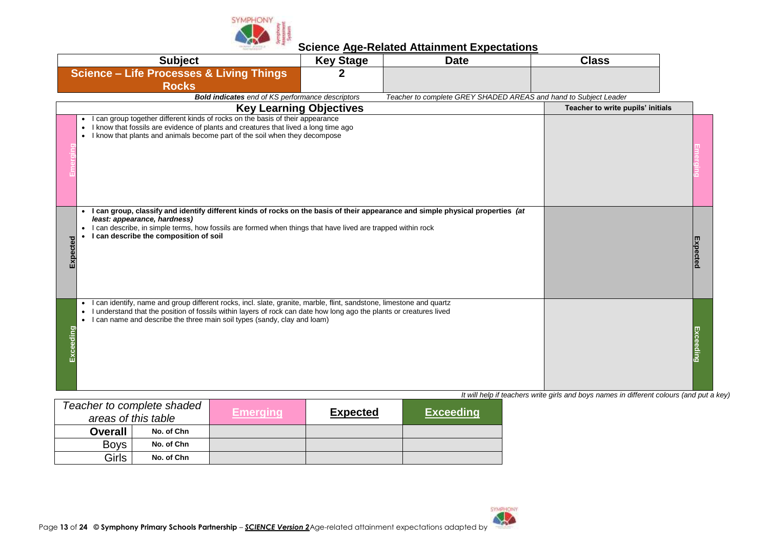

| <b>Subject</b>                                                                                                                                                                                                                                                                                                                       | <b>Key Stage</b> | <b>Date</b>                                                      | <b>Class</b>                                                                             |  |
|--------------------------------------------------------------------------------------------------------------------------------------------------------------------------------------------------------------------------------------------------------------------------------------------------------------------------------------|------------------|------------------------------------------------------------------|------------------------------------------------------------------------------------------|--|
| <b>Science - Life Processes &amp; Living Things</b>                                                                                                                                                                                                                                                                                  | $\mathbf{2}$     |                                                                  |                                                                                          |  |
| <b>Rocks</b>                                                                                                                                                                                                                                                                                                                         |                  |                                                                  |                                                                                          |  |
| <b>Bold indicates</b> end of KS performance descriptors                                                                                                                                                                                                                                                                              |                  | Teacher to complete GREY SHADED AREAS and hand to Subject Leader |                                                                                          |  |
| <b>Key Learning Objectives</b>                                                                                                                                                                                                                                                                                                       |                  |                                                                  | Teacher to write pupils' initials                                                        |  |
| • I can group together different kinds of rocks on the basis of their appearance<br>• I know that fossils are evidence of plants and creatures that lived a long time ago<br>• I know that plants and animals become part of the soil when they decompose                                                                            |                  |                                                                  |                                                                                          |  |
| • I can group, classify and identify different kinds of rocks on the basis of their appearance and simple physical properties (at<br>least: appearance, hardness)<br>I can describe, in simple terms, how fossils are formed when things that have lived are trapped within rock<br>I can describe the composition of soil           |                  |                                                                  |                                                                                          |  |
| • I can identify, name and group different rocks, incl. slate, granite, marble, flint, sandstone, limestone and quartz<br>I understand that the position of fossils within layers of rock can date how long ago the plants or creatures lived<br>• I can name and describe the three main soil types (sandy, clay and loam)<br>eding |                  |                                                                  | It will help if teachers write girls and boys names in different colours (and put a key) |  |

| Teacher to complete shaded<br>areas of this table |            | <b>Emerging</b> | <b>Expected</b> | <b>Exceeding</b> |
|---------------------------------------------------|------------|-----------------|-----------------|------------------|
| <b>Overall</b>                                    | No. of Chn |                 |                 |                  |
| <b>Boys</b>                                       | No. of Chn |                 |                 |                  |
| Girls                                             | No. of Chn |                 |                 |                  |

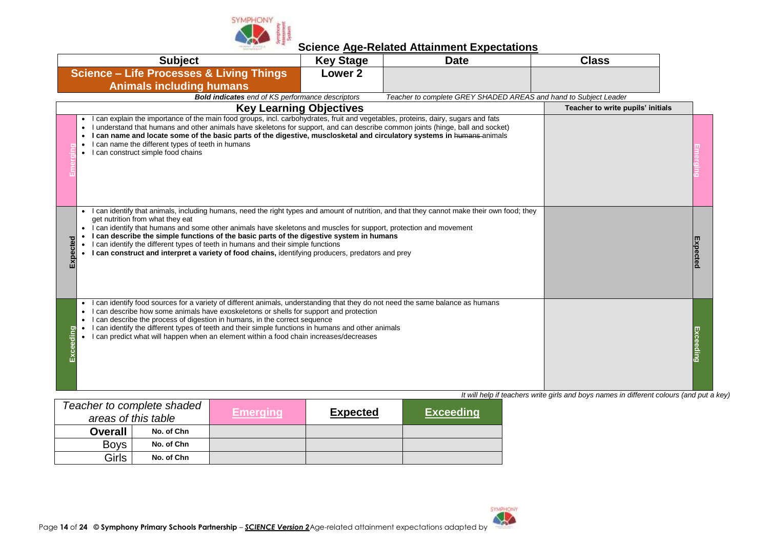

| <b>Subject</b>                                                                                                                                                                                                                                                                                                                                                                                                                                                                                                                                                                            | <b>Key Stage</b>   | <b>Date</b>                                                      | <b>Class</b>                                                                             |  |
|-------------------------------------------------------------------------------------------------------------------------------------------------------------------------------------------------------------------------------------------------------------------------------------------------------------------------------------------------------------------------------------------------------------------------------------------------------------------------------------------------------------------------------------------------------------------------------------------|--------------------|------------------------------------------------------------------|------------------------------------------------------------------------------------------|--|
| <b>Science - Life Processes &amp; Living Things</b>                                                                                                                                                                                                                                                                                                                                                                                                                                                                                                                                       | Lower <sub>2</sub> |                                                                  |                                                                                          |  |
| <b>Animals including humans</b>                                                                                                                                                                                                                                                                                                                                                                                                                                                                                                                                                           |                    |                                                                  |                                                                                          |  |
| <b>Bold indicates</b> end of KS performance descriptors                                                                                                                                                                                                                                                                                                                                                                                                                                                                                                                                   |                    | Teacher to complete GREY SHADED AREAS and hand to Subject Leader |                                                                                          |  |
| <b>Key Learning Objectives</b>                                                                                                                                                                                                                                                                                                                                                                                                                                                                                                                                                            |                    |                                                                  | Teacher to write pupils' initials                                                        |  |
| • I can explain the importance of the main food groups, incl. carbohydrates, fruit and vegetables, proteins, dairy, sugars and fats<br>I understand that humans and other animals have skeletons for support, and can describe common joints (hinge, ball and socket)<br>I can name and locate some of the basic parts of the digestive, musclosketal and circulatory systems in humans-animals<br>I can name the different types of teeth in humans<br>• I can construct simple food chains                                                                                              |                    |                                                                  |                                                                                          |  |
| I can identify that animals, including humans, need the right types and amount of nutrition, and that they cannot make their own food; they<br>get nutrition from what they eat<br>I can identify that humans and some other animals have skeletons and muscles for support, protection and movement<br>I can describe the simple functions of the basic parts of the digestive system in humans<br>I can identify the different types of teeth in humans and their simple functions<br>I can construct and interpret a variety of food chains, identifying producers, predators and prey |                    |                                                                  |                                                                                          |  |
| • I can identify food sources for a variety of different animals, understanding that they do not need the same balance as humans<br>I can describe how some animals have exoskeletons or shells for support and protection<br>can describe the process of digestion in humans, in the correct sequence<br>I can identify the different types of teeth and their simple functions in humans and other animals<br>I can predict what will happen when an element within a food chain increases/decreases                                                                                    |                    |                                                                  |                                                                                          |  |
|                                                                                                                                                                                                                                                                                                                                                                                                                                                                                                                                                                                           |                    |                                                                  | It will help if teachers write girls and boys names in different colours (and put a key) |  |

| Teacher to complete shaded<br>areas of this table |            | <b>Emerging</b> | <b>Expected</b> | <b>Exceeding</b> |
|---------------------------------------------------|------------|-----------------|-----------------|------------------|
| <b>Overall</b>                                    | No. of Chn |                 |                 |                  |
| <b>Boys</b>                                       | No. of Chn |                 |                 |                  |
| Girls                                             | No. of Chn |                 |                 |                  |

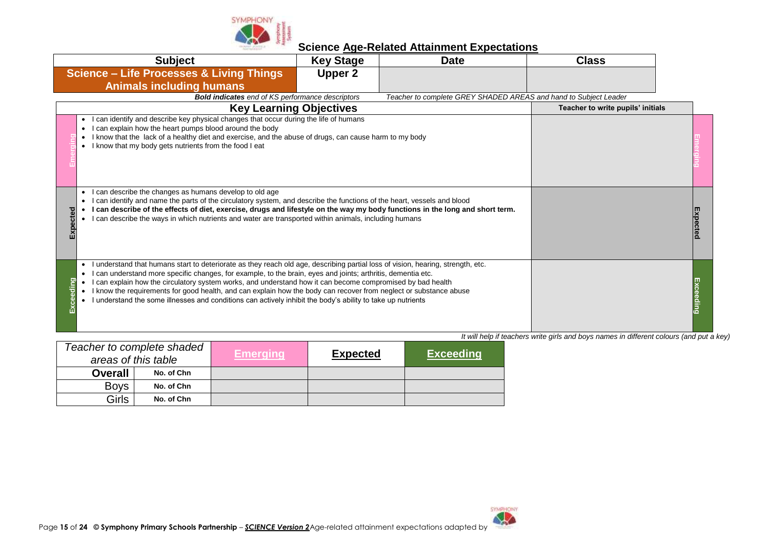

| <b>Subject</b>                                                                                                                                                                                                                                                                                                                                                                                                                                                                                                                                                                                                        | <b>Key Stage</b> | <b>Date</b>                                                      | <b>Class</b>                                                                             |  |
|-----------------------------------------------------------------------------------------------------------------------------------------------------------------------------------------------------------------------------------------------------------------------------------------------------------------------------------------------------------------------------------------------------------------------------------------------------------------------------------------------------------------------------------------------------------------------------------------------------------------------|------------------|------------------------------------------------------------------|------------------------------------------------------------------------------------------|--|
| <b>Science - Life Processes &amp; Living Things</b>                                                                                                                                                                                                                                                                                                                                                                                                                                                                                                                                                                   | Upper 2          |                                                                  |                                                                                          |  |
| <b>Animals including humans</b>                                                                                                                                                                                                                                                                                                                                                                                                                                                                                                                                                                                       |                  |                                                                  |                                                                                          |  |
| <b>Bold indicates</b> end of KS performance descriptors                                                                                                                                                                                                                                                                                                                                                                                                                                                                                                                                                               |                  | Teacher to complete GREY SHADED AREAS and hand to Subject Leader |                                                                                          |  |
| <b>Key Learning Objectives</b>                                                                                                                                                                                                                                                                                                                                                                                                                                                                                                                                                                                        |                  |                                                                  | Teacher to write pupils' initials                                                        |  |
| can identify and describe key physical changes that occur during the life of humans<br>can explain how the heart pumps blood around the body<br>I know that the lack of a healthy diet and exercise, and the abuse of drugs, can cause harm to my body<br>I know that my body gets nutrients from the food I eat                                                                                                                                                                                                                                                                                                      |                  |                                                                  |                                                                                          |  |
| can describe the changes as humans develop to old age<br>٠<br>can identify and name the parts of the circulatory system, and describe the functions of the heart, vessels and blood<br>I can describe of the effects of diet, exercise, drugs and lifestyle on the way my body functions in the long and short term.<br>०<br>can describe the ways in which nutrients and water are transported within animals, including humans<br>$\bullet$                                                                                                                                                                         |                  |                                                                  |                                                                                          |  |
| understand that humans start to deteriorate as they reach old age, describing partial loss of vision, hearing, strength, etc.<br>$\bullet$<br>can understand more specific changes, for example, to the brain, eyes and joints; arthritis, dementia etc.<br><b>guib</b><br>can explain how the circulatory system works, and understand how it can become compromised by bad health<br>I know the requirements for good health, and can explain how the body can recover from neglect or substance abuse<br>understand the some illnesses and conditions can actively inhibit the body's ability to take up nutrients |                  |                                                                  | It will help if teachers write girls and boys names in different colours (and put a key) |  |

| Teacher to complete shaded<br>areas of this table |            | <b>Emerging</b> | <b>Expected</b> | <b>Exceeding</b> |
|---------------------------------------------------|------------|-----------------|-----------------|------------------|
| <b>Overall</b>                                    | No. of Chn |                 |                 |                  |
| <b>Boys</b>                                       | No. of Chn |                 |                 |                  |
| Girls                                             | No. of Chn |                 |                 |                  |

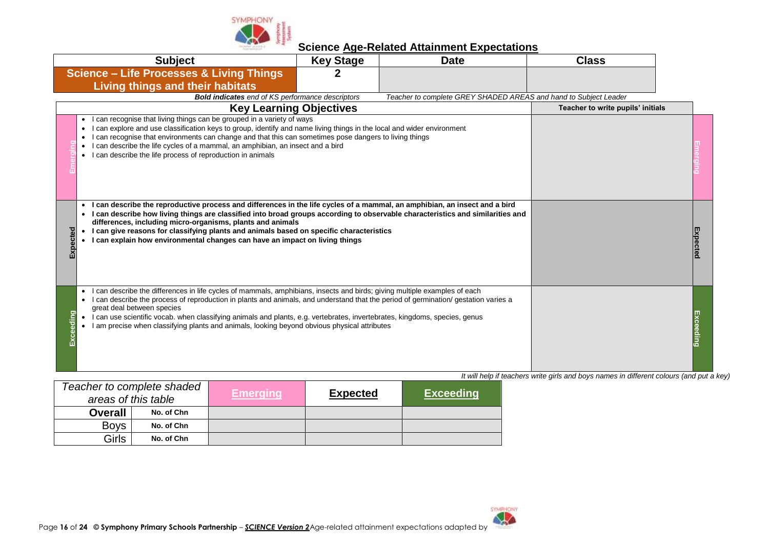

|       | <b>Subject</b>                                                                                                                                                                                                                                                                                                                                                                                                                                                                                                                      | <b>Key Stage</b> | <b>Date</b>                                                      | <b>Class</b>                      |          |
|-------|-------------------------------------------------------------------------------------------------------------------------------------------------------------------------------------------------------------------------------------------------------------------------------------------------------------------------------------------------------------------------------------------------------------------------------------------------------------------------------------------------------------------------------------|------------------|------------------------------------------------------------------|-----------------------------------|----------|
|       | <b>Science - Life Processes &amp; Living Things</b>                                                                                                                                                                                                                                                                                                                                                                                                                                                                                 |                  |                                                                  |                                   |          |
|       | <b>Living things and their habitats</b>                                                                                                                                                                                                                                                                                                                                                                                                                                                                                             |                  |                                                                  |                                   |          |
|       | <b>Bold indicates</b> end of KS performance descriptors                                                                                                                                                                                                                                                                                                                                                                                                                                                                             |                  | Teacher to complete GREY SHADED AREAS and hand to Subject Leader |                                   |          |
|       | <b>Key Learning Objectives</b>                                                                                                                                                                                                                                                                                                                                                                                                                                                                                                      |                  |                                                                  | Teacher to write pupils' initials |          |
|       | can recognise that living things can be grouped in a variety of ways<br>can explore and use classification keys to group, identify and name living things in the local and wider environment<br>can recognise that environments can change and that this can sometimes pose dangers to living things<br>can describe the life cycles of a mammal, an amphibian, an insect and a bird<br>$\bullet$<br>can describe the life process of reproduction in animals                                                                       |                  |                                                                  |                                   |          |
|       | I can describe the reproductive process and differences in the life cycles of a mammal, an amphibian, an insect and a bird<br>I can describe how living things are classified into broad groups according to observable characteristics and similarities and<br>differences, including micro-organisms, plants and animals<br>pected<br>I can give reasons for classifying plants and animals based on specific characteristics<br>I can explain how environmental changes can have an impact on living things                      |                  |                                                                  |                                   | Expected |
| eding | can describe the differences in life cycles of mammals, amphibians, insects and birds; giving multiple examples of each<br>can describe the process of reproduction in plants and animals, and understand that the period of germination/ gestation varies a<br>great deal between species<br>I can use scientific vocab. when classifying animals and plants, e.g. vertebrates, invertebrates, kingdoms, species, genus<br>$\bullet$<br>am precise when classifying plants and animals, looking beyond obvious physical attributes |                  |                                                                  |                                   |          |

| Teacher to complete shaded<br>areas of this table |            | <b>Emerging</b> | <b>Expected</b> | <b>Exceeding</b> |
|---------------------------------------------------|------------|-----------------|-----------------|------------------|
| <b>Overall</b>                                    | No. of Chn |                 |                 |                  |
| <b>Boys</b>                                       | No. of Chn |                 |                 |                  |
| Girls                                             | No. of Chn |                 |                 |                  |

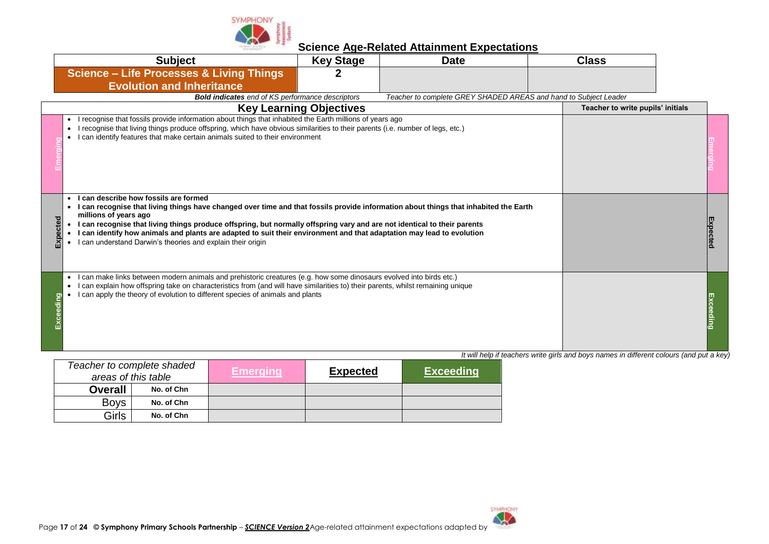

| <b>Subject</b>                                                                                                                                                                                                                                                                                                                                                                                                                                                                                                                            | <b>Key Stage</b>               | <b>Date</b>                                                      | <b>Class</b>                                                                             |          |
|-------------------------------------------------------------------------------------------------------------------------------------------------------------------------------------------------------------------------------------------------------------------------------------------------------------------------------------------------------------------------------------------------------------------------------------------------------------------------------------------------------------------------------------------|--------------------------------|------------------------------------------------------------------|------------------------------------------------------------------------------------------|----------|
| <b>Science - Life Processes &amp; Living Things</b><br><b>Evolution and Inheritance</b>                                                                                                                                                                                                                                                                                                                                                                                                                                                   |                                |                                                                  |                                                                                          |          |
| <b>Bold indicates</b> end of KS performance descriptors                                                                                                                                                                                                                                                                                                                                                                                                                                                                                   |                                | Teacher to complete GREY SHADED AREAS and hand to Subject Leader |                                                                                          |          |
|                                                                                                                                                                                                                                                                                                                                                                                                                                                                                                                                           | <b>Key Learning Objectives</b> |                                                                  | Teacher to write pupils' initials                                                        |          |
| recognise that fossils provide information about things that inhabited the Earth millions of years ago<br>٠<br>recognise that living things produce offspring, which have obvious similarities to their parents (i.e. number of legs, etc.)<br>٠<br>I can identify features that make certain animals suited to their environment                                                                                                                                                                                                         |                                |                                                                  |                                                                                          |          |
| I can describe how fossils are formed<br>I can recognise that living things have changed over time and that fossils provide information about things that inhabited the Earth<br>$\bullet$<br>millions of years ago<br>• I can recognise that living things produce offspring, but normally offspring vary and are not identical to their parents<br>I can identify how animals and plants are adapted to suit their environment and that adaptation may lead to evolution<br>I can understand Darwin's theories and explain their origin |                                |                                                                  |                                                                                          | Expected |
| I can make links between modern animals and prehistoric creatures (e.g. how some dinosaurs evolved into birds etc.)<br>$\bullet$<br>I can explain how offspring take on characteristics from (and will have similarities to) their parents, whilst remaining unique<br>$\bullet$<br>I can apply the theory of evolution to different species of animals and plants                                                                                                                                                                        |                                |                                                                  |                                                                                          |          |
|                                                                                                                                                                                                                                                                                                                                                                                                                                                                                                                                           |                                |                                                                  | It will help if teachers write girls and boys names in different colours (and put a key) |          |

| Teacher to complete shaded<br>areas of this table |            | Emeraina | <b>Expected</b> | <b>Exceeding</b> |
|---------------------------------------------------|------------|----------|-----------------|------------------|
| <b>Overall</b>                                    | No. of Chn |          |                 |                  |
| <b>Boys</b>                                       | No. of Chn |          |                 |                  |
| Girls                                             | No. of Chn |          |                 |                  |

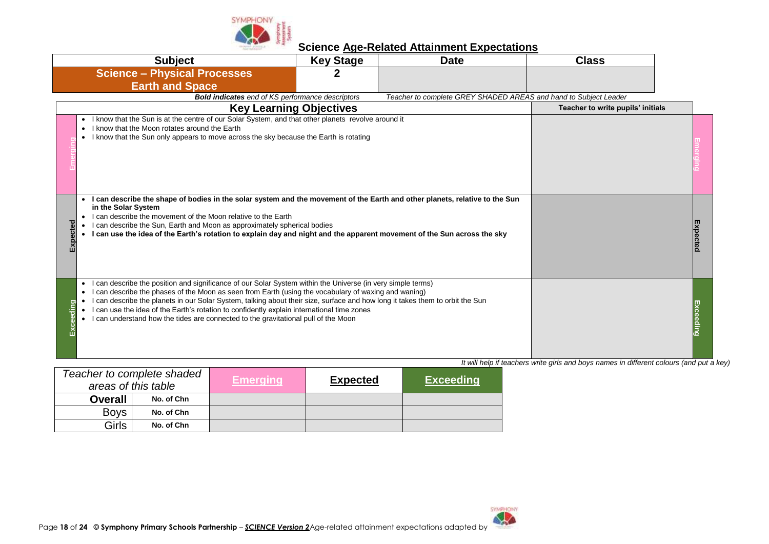

| <b>Subject</b>                                                                                                                                                                                                                                                                                                                                                                                                                                                                                                                                                                    | <b>Key Stage</b> | <b>Date</b>                                                      | <b>Class</b>                      |  |
|-----------------------------------------------------------------------------------------------------------------------------------------------------------------------------------------------------------------------------------------------------------------------------------------------------------------------------------------------------------------------------------------------------------------------------------------------------------------------------------------------------------------------------------------------------------------------------------|------------------|------------------------------------------------------------------|-----------------------------------|--|
| <b>Science - Physical Processes</b>                                                                                                                                                                                                                                                                                                                                                                                                                                                                                                                                               |                  |                                                                  |                                   |  |
| <b>Earth and Space</b>                                                                                                                                                                                                                                                                                                                                                                                                                                                                                                                                                            |                  |                                                                  |                                   |  |
| <b>Bold indicates</b> end of KS performance descriptors                                                                                                                                                                                                                                                                                                                                                                                                                                                                                                                           |                  | Teacher to complete GREY SHADED AREAS and hand to Subject Leader |                                   |  |
| <b>Key Learning Objectives</b>                                                                                                                                                                                                                                                                                                                                                                                                                                                                                                                                                    |                  |                                                                  | Teacher to write pupils' initials |  |
| • I know that the Sun is at the centre of our Solar System, and that other planets revolve around it<br>I know that the Moon rotates around the Earth<br>• I know that the Sun only appears to move across the sky because the Earth is rotating                                                                                                                                                                                                                                                                                                                                  |                  |                                                                  |                                   |  |
| I can describe the shape of bodies in the solar system and the movement of the Earth and other planets, relative to the Sun<br>in the Solar System<br>I can describe the movement of the Moon relative to the Earth<br>$\bullet$<br>ected<br>I can describe the Sun, Earth and Moon as approximately spherical bodies<br>I can use the idea of the Earth's rotation to explain day and night and the apparent movement of the Sun across the sky                                                                                                                                  |                  |                                                                  |                                   |  |
| I can describe the position and significance of our Solar System within the Universe (in very simple terms)<br>$\bullet$<br>I can describe the phases of the Moon as seen from Earth (using the vocabulary of waxing and waning)<br>$\bullet$<br>I can describe the planets in our Solar System, talking about their size, surface and how long it takes them to orbit the Sun<br>ding<br>I can use the idea of the Earth's rotation to confidently explain international time zones<br>I can understand how the tides are connected to the gravitational pull of the Moon<br>Exc |                  |                                                                  |                                   |  |

|                | Teacher to complete shaded<br>areas of this table | <b>Emerging</b> | <b>Expected</b> | <b>Exceeding</b> |
|----------------|---------------------------------------------------|-----------------|-----------------|------------------|
| <b>Overall</b> | No. of Chn                                        |                 |                 |                  |
| <b>Boys</b>    | No. of Chn                                        |                 |                 |                  |
| Girls          | No. of Chn                                        |                 |                 |                  |

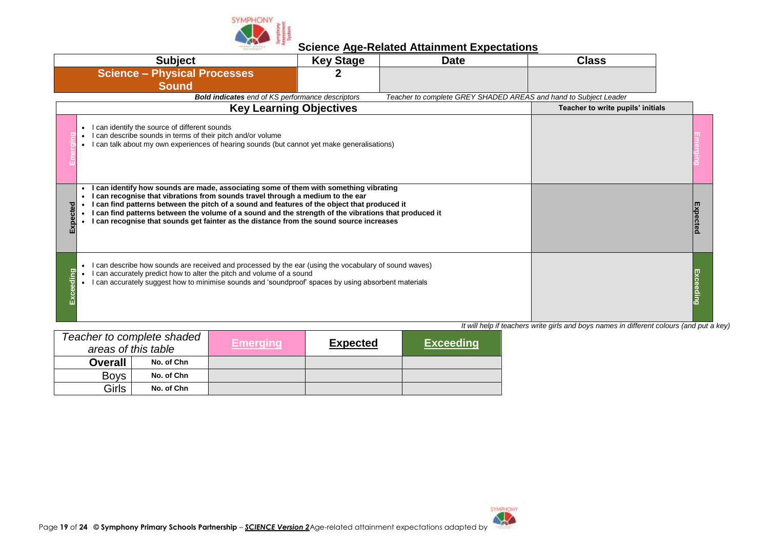

| <b>Subject</b>                                                                                                                                                                                                                                                                                                                                                                                                                                                                        | <b>Key Stage</b>               | <b>Date</b> | <b>Class</b>                                                     |                 |
|---------------------------------------------------------------------------------------------------------------------------------------------------------------------------------------------------------------------------------------------------------------------------------------------------------------------------------------------------------------------------------------------------------------------------------------------------------------------------------------|--------------------------------|-------------|------------------------------------------------------------------|-----------------|
| <b>Science - Physical Processes</b><br><b>Sound</b>                                                                                                                                                                                                                                                                                                                                                                                                                                   |                                |             |                                                                  |                 |
| <b>Bold indicates</b> end of KS performance descriptors                                                                                                                                                                                                                                                                                                                                                                                                                               |                                |             | Teacher to complete GREY SHADED AREAS and hand to Subject Leader |                 |
|                                                                                                                                                                                                                                                                                                                                                                                                                                                                                       | <b>Key Learning Objectives</b> |             | Teacher to write pupils' initials                                |                 |
| I can identify the source of different sounds<br>$\bullet$<br>can describe sounds in terms of their pitch and/or volume<br>can talk about my own experiences of hearing sounds (but cannot yet make generalisations)                                                                                                                                                                                                                                                                  |                                |             |                                                                  |                 |
| can identify how sounds are made, associating some of them with something vibrating<br>can recognise that vibrations from sounds travel through a medium to the ear<br>can find patterns between the pitch of a sound and features of the object that produced it<br>cted<br>can find patterns between the volume of a sound and the strength of the vibrations that produced it<br>Ō<br>O<br>I can recognise that sounds get fainter as the distance from the sound source increases |                                |             |                                                                  | <b>Expected</b> |
| I can describe how sounds are received and processed by the ear (using the vocabulary of sound waves)<br>can accurately predict how to alter the pitch and volume of a sound<br>can accurately suggest how to minimise sounds and 'soundproof' spaces by using absorbent materials                                                                                                                                                                                                    |                                |             |                                                                  |                 |

|                | Teacher to complete shaded | Emeraina' | <b>Expected</b> | <b>Exceeding</b> |
|----------------|----------------------------|-----------|-----------------|------------------|
|                | areas of this table        |           |                 |                  |
| <b>Overall</b> | No. of Chn                 |           |                 |                  |
| <b>Boys</b>    | No. of Chn                 |           |                 |                  |
| <b>Girls</b>   | No. of Chn                 |           |                 |                  |

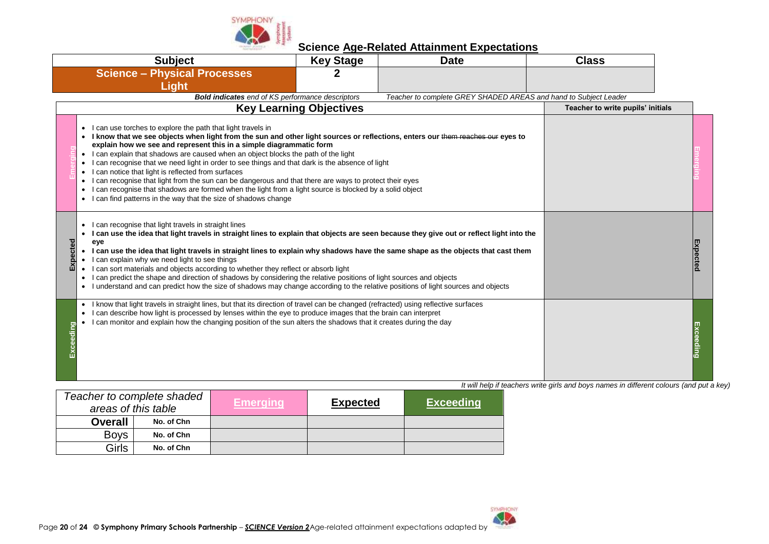

| <b>Subject</b><br><b>Key Stage</b><br><b>Date</b>                                                                                                                                                                                                                                                                                                                                                                                                                                                                                                                                                                                                                                                                                                                                                                       |                                |                                                                  | <b>Class</b>                      |  |
|-------------------------------------------------------------------------------------------------------------------------------------------------------------------------------------------------------------------------------------------------------------------------------------------------------------------------------------------------------------------------------------------------------------------------------------------------------------------------------------------------------------------------------------------------------------------------------------------------------------------------------------------------------------------------------------------------------------------------------------------------------------------------------------------------------------------------|--------------------------------|------------------------------------------------------------------|-----------------------------------|--|
| <b>Science - Physical Processes</b>                                                                                                                                                                                                                                                                                                                                                                                                                                                                                                                                                                                                                                                                                                                                                                                     | 2                              |                                                                  |                                   |  |
| <b>Light</b>                                                                                                                                                                                                                                                                                                                                                                                                                                                                                                                                                                                                                                                                                                                                                                                                            |                                |                                                                  |                                   |  |
| <b>Bold indicates</b> end of KS performance descriptors                                                                                                                                                                                                                                                                                                                                                                                                                                                                                                                                                                                                                                                                                                                                                                 |                                | Teacher to complete GREY SHADED AREAS and hand to Subject Leader |                                   |  |
|                                                                                                                                                                                                                                                                                                                                                                                                                                                                                                                                                                                                                                                                                                                                                                                                                         | <b>Key Learning Objectives</b> |                                                                  | Teacher to write pupils' initials |  |
| • I can use torches to explore the path that light travels in<br>. I know that we see objects when light from the sun and other light sources or reflections, enters our them reaches our eyes to<br>explain how we see and represent this in a simple diagrammatic form<br>• I can explain that shadows are caused when an object blocks the path of the light<br>• I can recognise that we need light in order to see things and that dark is the absence of light<br>• I can notice that light is reflected from surfaces<br>• I can recognise that light from the sun can be dangerous and that there are ways to protect their eyes<br>I can recognise that shadows are formed when the light from a light source is blocked by a solid object<br>• I can find patterns in the way that the size of shadows change |                                |                                                                  |                                   |  |
| • I can recognise that light travels in straight lines<br>• I can use the idea that light travels in straight lines to explain that objects are seen because they give out or reflect light into the<br>Expected<br>eye<br>• I can use the idea that light travels in straight lines to explain why shadows have the same shape as the objects that cast them<br>I can explain why we need light to see things<br>$\bullet$<br>• I can sort materials and objects according to whether they reflect or absorb light<br>• I can predict the shape and direction of shadows by considering the relative positions of light sources and objects<br>• I understand and can predict how the size of shadows may change according to the relative positions of light sources and objects                                      |                                | Expected                                                         |                                   |  |
| • I know that light travels in straight lines, but that its direction of travel can be changed (refracted) using reflective surfaces<br>can describe how light is processed by lenses within the eye to produce images that the brain can interpret<br>$\bullet$<br>I can monitor and explain how the changing position of the sun alters the shadows that it creates during the day<br>=xceeding                                                                                                                                                                                                                                                                                                                                                                                                                       |                                |                                                                  |                                   |  |

|                | Teacher to complete shaded<br>areas of this table | <b>Emeraina</b> | <b>Expected</b> | <b>Exceeding</b> |
|----------------|---------------------------------------------------|-----------------|-----------------|------------------|
| <b>Overall</b> | No. of Chn                                        |                 |                 |                  |
| <b>Boys</b>    | No. of Chn                                        |                 |                 |                  |
| Girls          | No. of Chn                                        |                 |                 |                  |

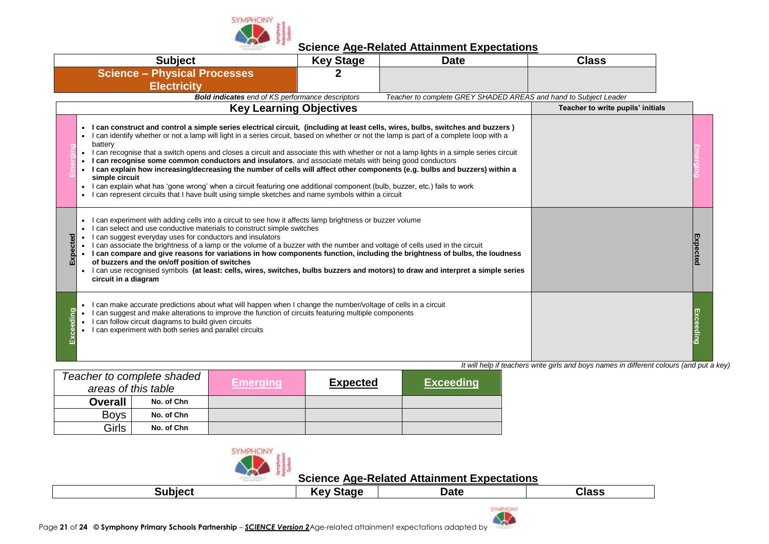

|           | <b>Subject</b>                                                                                                                                                                                                                                                                                                                                                                                                                                                                                                                                                                                                                                                                                                                                                                                                                                                                                                                                         | <b>Key Stage</b> | <b>Date</b>                                                      | <b>Class</b>                      |  |
|-----------|--------------------------------------------------------------------------------------------------------------------------------------------------------------------------------------------------------------------------------------------------------------------------------------------------------------------------------------------------------------------------------------------------------------------------------------------------------------------------------------------------------------------------------------------------------------------------------------------------------------------------------------------------------------------------------------------------------------------------------------------------------------------------------------------------------------------------------------------------------------------------------------------------------------------------------------------------------|------------------|------------------------------------------------------------------|-----------------------------------|--|
|           | <b>Science - Physical Processes</b>                                                                                                                                                                                                                                                                                                                                                                                                                                                                                                                                                                                                                                                                                                                                                                                                                                                                                                                    |                  |                                                                  |                                   |  |
|           | <b>Electricity</b>                                                                                                                                                                                                                                                                                                                                                                                                                                                                                                                                                                                                                                                                                                                                                                                                                                                                                                                                     |                  |                                                                  |                                   |  |
|           | <b>Bold indicates</b> end of KS performance descriptors                                                                                                                                                                                                                                                                                                                                                                                                                                                                                                                                                                                                                                                                                                                                                                                                                                                                                                |                  | Teacher to complete GREY SHADED AREAS and hand to Subject Leader |                                   |  |
|           | <b>Key Learning Objectives</b>                                                                                                                                                                                                                                                                                                                                                                                                                                                                                                                                                                                                                                                                                                                                                                                                                                                                                                                         |                  |                                                                  | Teacher to write pupils' initials |  |
|           | I can construct and control a simple series electrical circuit, (including at least cells, wires, bulbs, switches and buzzers)<br>I can identify whether or not a lamp will light in a series circuit, based on whether or not the lamp is part of a complete loop with a<br>battery<br>I can recognise that a switch opens and closes a circuit and associate this with whether or not a lamp lights in a simple series circuit<br>$\bullet$<br>I can recognise some common conductors and insulators, and associate metals with being good conductors<br>I can explain how increasing/decreasing the number of cells will affect other components (e.g. bulbs and buzzers) within a<br>$\bullet$<br>simple circuit<br>I can explain what has 'gone wrong' when a circuit featuring one additional component (bulb, buzzer, etc.) fails to work<br>I can represent circuits that I have built using simple sketches and name symbols within a circuit |                  |                                                                  |                                   |  |
| Expected  | can experiment with adding cells into a circuit to see how it affects lamp brightness or buzzer volume<br>can select and use conductive materials to construct simple switches<br>$\bullet$<br>I can suggest everyday uses for conductors and insulators<br>I can associate the brightness of a lamp or the volume of a buzzer with the number and voltage of cells used in the circuit<br>I can compare and give reasons for variations in how components function, including the brightness of bulbs, the loudness<br>of buzzers and the on/off position of switches<br>I can use recognised symbols (at least: cells, wires, switches, bulbs buzzers and motors) to draw and interpret a simple series<br>$\bullet$<br>circuit in a diagram                                                                                                                                                                                                         |                  | Expected                                                         |                                   |  |
| Exceeding | I can make accurate predictions about what will happen when I change the number/voltage of cells in a circuit<br>$\bullet$<br>I can suggest and make alterations to improve the function of circuits featuring multiple components<br>I can follow circuit diagrams to build given circuits<br>I can experiment with both series and parallel circuits                                                                                                                                                                                                                                                                                                                                                                                                                                                                                                                                                                                                 |                  |                                                                  |                                   |  |

*It will help if teachers write girls and boys names in different colours (and put a key)*

|                | Teacher to complete shaded<br>areas of this table | /Emerging | <b>Expected</b> | <b>Exceeding</b> |
|----------------|---------------------------------------------------|-----------|-----------------|------------------|
| <b>Overall</b> | No. of Chn                                        |           |                 |                  |
| <b>Boys</b>    | No. of Chn                                        |           |                 |                  |
| Girls          | No. of Chn                                        |           |                 |                  |



| <b>T</b> blect<br>w | Stanr<br>rev | Date | Class |
|---------------------|--------------|------|-------|

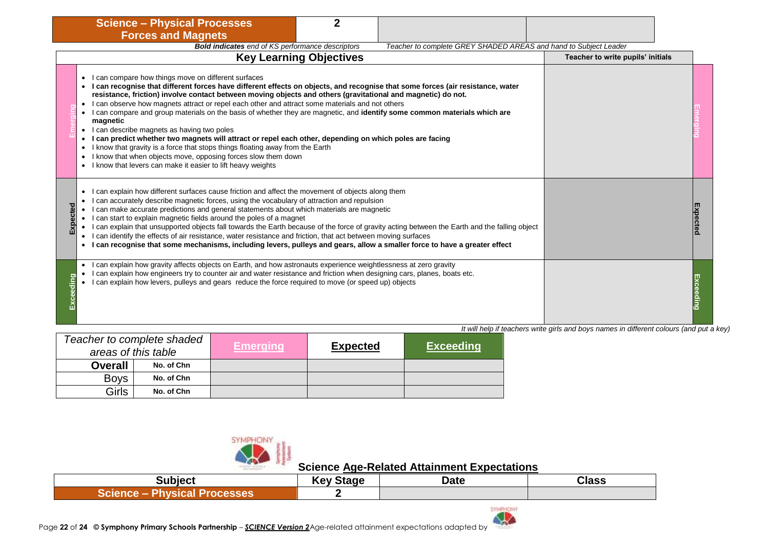| <b>Science - Physical Processes</b>                                                                                                                                                                                                                                                                                                                                                                                                                                                                                                                                                                                                                                                                                                                                                                                                                                                                                                                                                           |                                                                                                       |
|-----------------------------------------------------------------------------------------------------------------------------------------------------------------------------------------------------------------------------------------------------------------------------------------------------------------------------------------------------------------------------------------------------------------------------------------------------------------------------------------------------------------------------------------------------------------------------------------------------------------------------------------------------------------------------------------------------------------------------------------------------------------------------------------------------------------------------------------------------------------------------------------------------------------------------------------------------------------------------------------------|-------------------------------------------------------------------------------------------------------|
| <b>Forces and Magnets</b>                                                                                                                                                                                                                                                                                                                                                                                                                                                                                                                                                                                                                                                                                                                                                                                                                                                                                                                                                                     |                                                                                                       |
| <b>Bold indicates</b> end of KS performance descriptors                                                                                                                                                                                                                                                                                                                                                                                                                                                                                                                                                                                                                                                                                                                                                                                                                                                                                                                                       | Teacher to complete GREY SHADED AREAS and hand to Subject Leader<br>Teacher to write pupils' initials |
| <b>Key Learning Objectives</b><br>I can compare how things move on different surfaces<br>• I can recognise that different forces have different effects on objects, and recognise that some forces (air resistance, water<br>resistance, friction) involve contact between moving objects and others (gravitational and magnetic) do not.<br>I can observe how magnets attract or repel each other and attract some materials and not others<br>I can compare and group materials on the basis of whether they are magnetic, and identify some common materials which are<br>$\bullet$<br>magnetic<br>• I can describe magnets as having two poles<br>I can predict whether two magnets will attract or repel each other, depending on which poles are facing<br>$\bullet$<br>I know that gravity is a force that stops things floating away from the Earth<br>I know that when objects move, opposing forces slow them down<br>• I know that levers can make it easier to lift heavy weights |                                                                                                       |
| can explain how different surfaces cause friction and affect the movement of objects along them<br>$\bullet$<br>can accurately describe magnetic forces, using the vocabulary of attraction and repulsion<br>Expected<br>can make accurate predictions and general statements about which materials are magnetic<br>$\bullet$<br>I can start to explain magnetic fields around the poles of a magnet<br>I can explain that unsupported objects fall towards the Earth because of the force of gravity acting between the Earth and the falling object<br>$\bullet$<br>I can identify the effects of air resistance, water resistance and friction, that act between moving surfaces<br>$\bullet$<br>I can recognise that some mechanisms, including levers, pulleys and gears, allow a smaller force to have a greater effect                                                                                                                                                                 |                                                                                                       |
| can explain how gravity affects objects on Earth, and how astronauts experience weightlessness at zero gravity<br>$\bullet$<br>I can explain how engineers try to counter air and water resistance and friction when designing cars, planes, boats etc.<br>Exceeding<br>I can explain how levers, pulleys and gears reduce the force required to move (or speed up) objects                                                                                                                                                                                                                                                                                                                                                                                                                                                                                                                                                                                                                   |                                                                                                       |

|                | Teacher to complete shaded<br>areas of this table | /Emeraina | <b>Expected</b> | <b>Exceeding</b> |
|----------------|---------------------------------------------------|-----------|-----------------|------------------|
| <b>Overall</b> | No. of Chn                                        |           |                 |                  |
| <b>Boys</b>    | No. of Chn                                        |           |                 |                  |
| Girls          | No. of Chn                                        |           |                 |                  |



| Subject                                        | <b>Key Stage</b> | <b>Date</b> | <b>Class</b> |
|------------------------------------------------|------------------|-------------|--------------|
| Physical<br><b>Science</b><br><b>Processes</b> |                  |             |              |

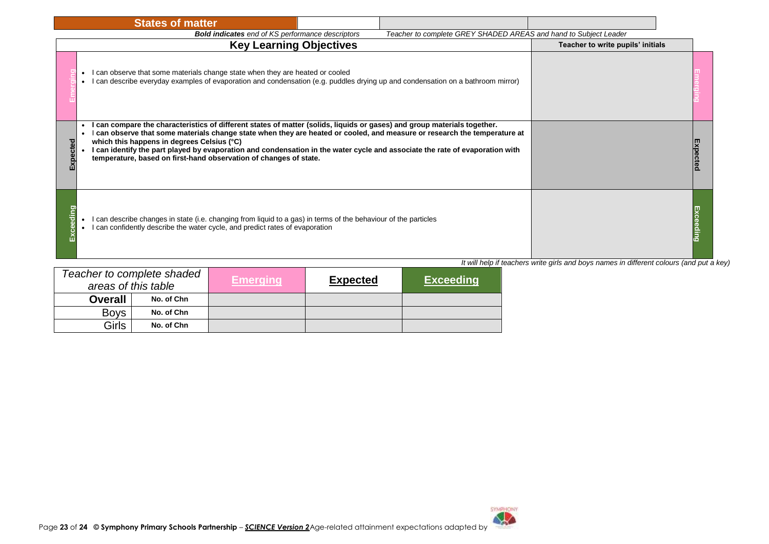|        | <b>States of matter</b>                                                                                                                                                                                                                                                                                                                                                                                                                                                                                |                                                                                          |
|--------|--------------------------------------------------------------------------------------------------------------------------------------------------------------------------------------------------------------------------------------------------------------------------------------------------------------------------------------------------------------------------------------------------------------------------------------------------------------------------------------------------------|------------------------------------------------------------------------------------------|
|        | Teacher to complete GREY SHADED AREAS and hand to Subject Leader<br><b>Bold indicates</b> end of KS performance descriptors                                                                                                                                                                                                                                                                                                                                                                            |                                                                                          |
|        | <b>Key Learning Objectives</b>                                                                                                                                                                                                                                                                                                                                                                                                                                                                         | Teacher to write pupils' initials                                                        |
|        | I can observe that some materials change state when they are heated or cooled<br>• I can describe everyday examples of evaporation and condensation (e.g. puddles drying up and condensation on a bathroom mirror)                                                                                                                                                                                                                                                                                     |                                                                                          |
| pected | can compare the characteristics of different states of matter (solids, liquids or gases) and group materials together.<br>I can observe that some materials change state when they are heated or cooled, and measure or research the temperature at<br>which this happens in degrees Celsius (°C)<br>I can identify the part played by evaporation and condensation in the water cycle and associate the rate of evaporation with<br>temperature, based on first-hand observation of changes of state. |                                                                                          |
| ding   | I can describe changes in state (i.e. changing from liquid to a gas) in terms of the behaviour of the particles<br>I can confidently describe the water cycle, and predict rates of evaporation                                                                                                                                                                                                                                                                                                        |                                                                                          |
|        |                                                                                                                                                                                                                                                                                                                                                                                                                                                                                                        | It will help if teachers write girls and boys names in different colours (and put a key) |

| Teacher to complete shaded<br>areas of this table |            | Emeraina l | <b>Expected</b> | <b>Exceeding</b> |
|---------------------------------------------------|------------|------------|-----------------|------------------|
| <b>Overall</b>                                    | No. of Chn |            |                 |                  |
| <b>Boys</b>                                       | No. of Chn |            |                 |                  |
| Girls                                             | No. of Chn |            |                 |                  |